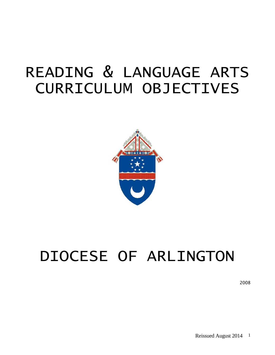# READING & LANGUAGE ARTS CURRICULUM OBJECTIVES



# DIOCESE OF ARLINGTON

2008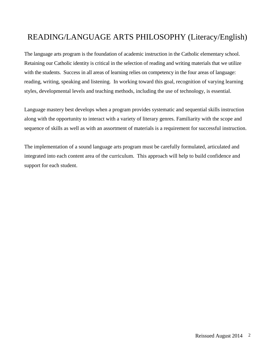# READING/LANGUAGE ARTS PHILOSOPHY (Literacy/English)

The language arts program is the foundation of academic instruction in the Catholic elementary school. Retaining our Catholic identity is critical in the selection of reading and writing materials that we utilize with the students. Success in all areas of learning relies on competency in the four areas of language: reading, writing, speaking and listening. In working toward this goal, recognition of varying learning styles, developmental levels and teaching methods, including the use of technology, is essential.

Language mastery best develops when a program provides systematic and sequential skills instruction along with the opportunity to interact with a variety of literary genres. Familiarity with the scope and sequence of skills as well as with an assortment of materials is a requirement for successful instruction.

The implementation of a sound language arts program must be carefully formulated, articulated and integrated into each content area of the curriculum. This approach will help to build confidence and support for each student.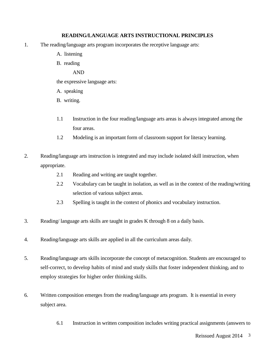#### **READING/LANGUAGE ARTS INSTRUCTIONAL PRINCIPLES**

- 1. The reading/language arts program incorporates the receptive language arts:
	- A. listening
	- B. reading
		- AND

the expressive language arts:

- A. speaking
- B. writing.
- 1.1 Instruction in the four reading/language arts areas is always integrated among the four areas.
- 1.2 Modeling is an important form of classroom support for literacy learning.
- 2. Reading/language arts instruction is integrated and may include isolated skill instruction, when appropriate.
	- 2.1 Reading and writing are taught together.
	- 2.2 Vocabulary can be taught in isolation, as well as in the context of the reading/writing selection of various subject areas.
	- 2.3 Spelling is taught in the context of phonics and vocabulary instruction.
- 3. Reading/ language arts skills are taught in grades K through 8 on a daily basis.
- 4. Reading/language arts skills are applied in all the curriculum areas daily.
- 5. Reading/language arts skills incorporate the concept of metacognition. Students are encouraged to self-correct, to develop habits of mind and study skills that foster independent thinking, and to employ strategies for higher order thinking skills.
- 6. Written composition emerges from the reading/language arts program. It is essential in every subject area.
	- 6.1 Instruction in written composition includes writing practical assignments (answers to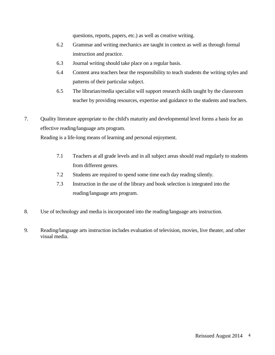questions, reports, papers, etc.) as well as creative writing.

- 6.2 Grammar and writing mechanics are taught in context as well as through formal instruction and practice.
- 6.3 Journal writing should take place on a regular basis.
- 6.4 Content area teachers bear the responsibility to teach students the writing styles and patterns of their particular subject.
- 6.5 The librarian/media specialist will support research skills taught by the classroom teacher by providing resources, expertise and guidance to the students and teachers.
- 7. Quality literature appropriate to the child's maturity and developmental level forms a basis for an effective reading/language arts program.

Reading is a life-long means of learning and personal enjoyment.

- 7.1 Teachers at all grade levels and in all subject areas should read regularly to students from different genres.
- 7.2 Students are required to spend some time each day reading silently.
- 7.3 Instruction in the use of the library and book selection is integrated into the reading/language arts program.
- 8. Use of technology and media is incorporated into the reading/language arts instruction.
- 9. Reading/language arts instruction includes evaluation of television, movies, live theater, and other visual media.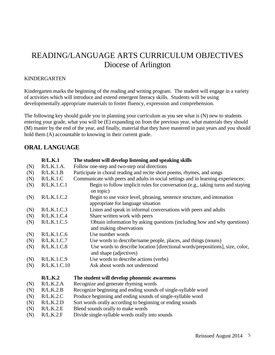# READING/LANGUAGE ARTS CURRICULUM OBJECTIVES Diocese of Arlington

#### KINDERGARTEN

Kindergarten marks the beginning of the reading and writing program. The student will engage in a variety of activities which will introduce and extend emergent literacy skills. Students will be using developmentally appropriate materials to foster fluency, expression and comprehension.

The following key should guide you in planning your curriculum as you see what is (N) new to students entering your grade, what you will be (E) expanding on from the previous year, what materials they should (M) master by the end of the year, and finally, material that they have mastered in past years and you should hold them (A) accountable to knowing in their current grade.

# **ORAL LANGUAGE**

|     | R/L.K.1      | The student will develop listening and speaking skills                                                       |
|-----|--------------|--------------------------------------------------------------------------------------------------------------|
| (N) | R/L.K.1.A.   | Follow one-step and two-step oral directions                                                                 |
| (N) | R/L.K.1.B    | Participate in choral reading and recite short poems, rhymes, and songs                                      |
| (N) | R/L.K.1.C    | Communicate with peers and adults in social settings and in learning experiences:                            |
| (N) | R/L.K.1.C.1  | Begin to follow implicit rules for conversation (e.g., taking turns and staying<br>on topic)                 |
| (N) | R/L.K.1.C.2  | Begin to use voice level, phrasing, sentence structure, and intonation<br>appropriate for language situation |
| (N) | R/L.K.1.C.3  | Listen and speak in informal conversations with peers and adults                                             |
| (N) | R/L.K.1.C.4  | Share written work with peers                                                                                |
| (N) | R/L.K.1.C.5  | Obtain information by asking questions (including how and why questions)<br>and making observations          |
| (N) | R/L.K.1.C.6  | Use number words                                                                                             |
| (N) | R/L.K.1.C.7  | Use words to describe/name people, places, and things (nouns)                                                |
| (N) | R/L.K.1.C.8  | Use words to describe location [directional words/prepositions], size, color,<br>and shape (adjectives)      |
| (N) | R/L.K.1.C.9  | Use words to describe actions (verbs)                                                                        |
| (N) | R/L.K.1.C.10 | Ask about words not understood                                                                               |
|     | R/L.K.2      | The student will develop phonemic awareness                                                                  |
| (N) | R/L.K.2.A    | Recognize and generate rhyming words                                                                         |
| (N) | R/L.K.2.B    | Recognize beginning and ending sounds of single-syllable word                                                |
| (N) | R/L.K.2.C    | Produce beginning and ending sounds of single-syllable word                                                  |
| (N) | R/L.K.2.D    | Sort words orally according to beginning or ending sounds                                                    |
| (N) | R/L.K.2.E    | Blend sounds orally to make words                                                                            |
| (N) | R/L.K.2.F    | Divide single-syllable words orally into sounds                                                              |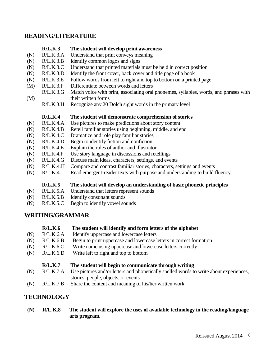## **READING/LITERATURE**

- **R/L.K.3 The student will develop print awareness**
- (N) R/L.K.3.A Understand that print conveys meaning
- (N) R/L.K.3.B Identify common logos and signs
- (N) R/L.K.3.C Understand that printed materials must be held in correct position
- (N)  $R/L.K.3.D$ Identify the front cover, back cover and title page of a book
- (N)  $R/L.K.3.E$ Follow words from left to right and top to bottom on a printed page
- (M) R/L.K.3.F Differentiate between words and letters
- (M) R/L.K.3.G Match voice with print, associating oral phonemes, syllables, words, and phrases with their written forms
	- $R/L.K.3.H$ Recognize any 20 Dolch sight words in the primary level

#### **R/L.K.4 The student will demonstrate comprehension of stories**

- (N)  $R/L.K.4.A$ Use pictures to make predictions about story content
- (N) R/L.K.4.B Retell familiar stories using beginning, middle, and end
- (N) R/L.K.4.C Dramatize and role play familiar stories
- (N)  $R/L.K.4.D$ Begin to identify fiction and nonfiction
- (N) R/L.K.4.E Explain the roles of author and illustrator
- (N) R/L.K.4.F Use story language in discussions and retellings
- (N) R/L.K.4.G Discuss main ideas, characters, settings, and events
- (N)  $R/L.K.4.H$ Compare and contrast familiar stories, characters, settings and events
- (N) R/L.K.4.I Read emergent-reader texts with purpose and understanding to build fluency

**R/L.K.5 The student will develop an understanding of basic phonetic principles**

- (N) R/L.K.5.A Understand that letters represent sounds
- (N) R/L.K.5.B Identify consonant sounds
- (N) R/L.K.5.C Begin to identify vowel sounds

# **WRITING/GRAMMAR**

- **R/L.K.6 The student will identify and form letters of the alphabet**
- (N) R/L.K.6.A Identify uppercase and lowercase letters
- (N) R/L.K.6.B Begin to print uppercase and lowercase letters in correct formation
- (N) R/L.K.6.C Write name using uppercase and lowercase letters correctly
- (N) R/L.K.6.D Write left to right and top to bottom

#### **R/L.K.7 The student will begin to communicate through writing**

- (N) R/L.K.7.A Use pictures and/or letters and phonetically spelled words to write about experiences, stories, people, objects, or events
- (N) R/L.K.7.B Share the content and meaning of his/her written work

# **TECHNOLOGY**

**(N) R/L.K.8 The student will explore the uses of available technology in the reading/language arts program.**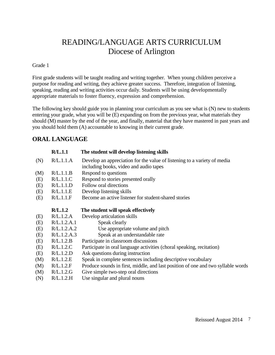# READING/LANGUAGE ARTS CURRICULUM Diocese of Arlington

Grade 1

First grade students will be taught reading and writing together. When young children perceive a purpose for reading and writing, they achieve greater success. Therefore, integration of listening, speaking, reading and writing activities occur daily. Students will be using developmentally appropriate materials to foster fluency, expression and comprehension.

The following key should guide you in planning your curriculum as you see what is (N) new to students entering your grade, what you will be (E) expanding on from the previous year, what materials they should (M) master by the end of the year, and finally, material that they have mastered in past years and you should hold them (A) accountable to knowing in their current grade.

# **ORAL LANGUAGE**

|     | R/L.1.1     | The student will develop listening skills                                                                          |
|-----|-------------|--------------------------------------------------------------------------------------------------------------------|
| (N) | R/L.1.1.A   | Develop an appreciation for the value of listening to a variety of media<br>including books, video and audio tapes |
| (M) | R/L.1.1.B   | Respond to questions                                                                                               |
| (E) | R/L.1.1.C   | Respond to stories presented orally                                                                                |
| (E) | R/L.1.1.D   | Follow oral directions                                                                                             |
| (E) | R/L.1.1.E   | Develop listening skills                                                                                           |
| (E) | R/L.1.1.F   | Become an active listener for student-shared stories                                                               |
|     | R/L.1.2     | The student will speak effectively                                                                                 |
| (E) | R/L.1.2.A   | Develop articulation skills                                                                                        |
| (E) | R/L.1.2.A.1 | Speak clearly                                                                                                      |
| (E) | R/L.1.2.A.2 | Use appropriate volume and pitch                                                                                   |
| (E) | R/L.1.2.A.3 | Speak at an understandable rate                                                                                    |
| (E) | R/L.1.2.B   | Participate in classroom discussions                                                                               |
| (E) | R/L.1.2.C   | Participate in oral language activities (choral speaking, recitation)                                              |
| (E) | R/L.1.2.D   | Ask questions during instruction                                                                                   |
| (M) | R/L.1.2.E   | Speak in complete sentences including descriptive vocabulary                                                       |
| (M) | R/L.1.2.F   | Produce sounds in first, middle, and last position of one and two syllable words                                   |
| (M) | R/L.1.2.G   | Give simple two-step oral directions                                                                               |
| (N) | R/L.1.2.H   | Use singular and plural nouns                                                                                      |
|     |             |                                                                                                                    |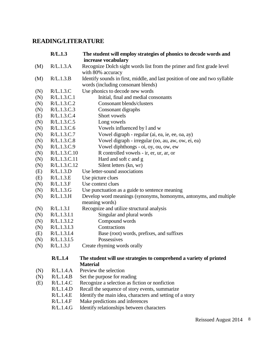# **READING/LITERATURE**

|     | R/L.1.3      | The student will employ strategies of phonics to decode words and           |
|-----|--------------|-----------------------------------------------------------------------------|
|     |              | increase vocabulary                                                         |
| (M) | R/L.1.3.A    | Recognize Dolch sight words list from the primer and first grade level      |
|     |              | with 80% accuracy                                                           |
| (M) | R/L.1.3.B    | Identify sounds in first, middle, and last position of one and two syllable |
|     |              | words (including consonant blends)                                          |
| (N) | R/L.1.3.C    | Use phonics to decode new words                                             |
| (N) | R/L.1.3.C.1  | Initial, final and medial consonants                                        |
| (N) | R/L.1.3.C.2  | <b>Consonant blends/clusters</b>                                            |
| (N) | R/L.1.3.C.3  | Consonant digraphs                                                          |
| (E) | R/L.1.3.C.4  | Short vowels                                                                |
| (N) | R/L.1.3.C.5  | Long vowels                                                                 |
| (N) | R/L.1.3.C.6  | Vowels influenced by l and w                                                |
| (N) | R/L.1.3.C.7  | Vowel digraph - regular (ai, ea, ie, ee, oa, ay)                            |
| (N) | R/L.1.3.C.8  | Vowel digraph - irregular (oo, au, aw, ow, ei, ea)                          |
| (N) | R/L.1.3.C.9  | Vowel diphthongs - oi, oy, ou, ow, ew                                       |
| (N) | R/L.1.3.C.10 | R controlled vowels - ir, er, ur, ar, or                                    |
| (N) | R/L.1.3.C.11 | Hard and soft c and g                                                       |
| (N) | R/L.1.3.C.12 | Silent letters (kn, wr)                                                     |
| (E) | R/L.1.3.D    | Use letter-sound associations                                               |
| (E) | R/L.1.3.E    | Use picture clues                                                           |
| (N) | R/L.1.3.F    | Use context clues                                                           |
| (N) | R/L.1.3.G    | Use punctuation as a guide to sentence meaning                              |
| (N) | R/L.1.3.H    | Develop word meanings (synonyms, homonyms, antonyms, and multiple           |
|     |              | meaning words)                                                              |
| (N) | R/L.1.3.I    | Recognize and utilize structural analysis                                   |
| (N) | R/L.1.3.I.1  | Singular and plural words                                                   |
| (N) | R/L.1.3.I.2  | Compound words                                                              |
| (N) | R/L.1.3.I.3  | Contractions                                                                |
| (E) | R/L.1.3.I.4  | Base (root) words, prefixes, and suffixes                                   |
| (N) | R/L.1.3.I.5  | Possessives                                                                 |
| (N) | R/L.1.3J     | Create rhyming words orally                                                 |
|     | R/L.1.4      | The student will use strategies to comprehend a variety of printed          |
|     |              | <b>Material</b>                                                             |
| (N) | R/L.1.4.A    | Preview the selection                                                       |
| (N) | R/L.1.4.B    | Set the purpose for reading                                                 |
| (E) | R/L.1.4.C    | Recognize a selection as fiction or nonfiction                              |
|     | R/L.1.4.D    | Recall the sequence of story events, summarize                              |
|     | R/L.1.4.E    | Identify the main idea, characters and setting of a story                   |
|     | R/L.1.4.F    | Make predictions and inferences                                             |
|     | R/L.1.4.G    | Identify relationships between characters                                   |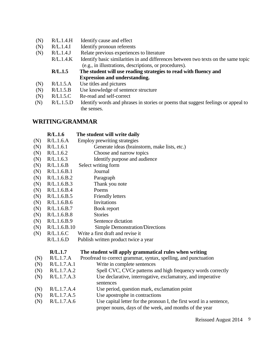- (N)  $R/L.1.4.H$ Identify cause and effect
- (N) R/L.1.4.I Identify pronoun referents
- (N) R/L.1.4.J Relate previous experiences to literature
	- R/L.1.4.K Identify basic similarities in and differences between two texts on the same topic (e.g., in illustrations, descriptions, or procedures).
	- **R/L.1.5 The student will use reading strategies to read with fluency and Expression and understanding.**
- (N)  $R/L1.5.A$ Use titles and pictures
- (N)  $R/L1.5.B$ Use knowledge of sentence structure
- (N) R/L1.5.C Re-read and self-correct
- (N)  $R/L.1.5.D$ Identify words and phrases in stories or poems that suggest feelings or appeal to the senses.

### **WRITING/GRAMMAR**

- **R/L.1.6 The student will write daily**
- (N) R/L.1.6.A Employ prewriting strategies
- (N) R/L.1.6.1 Generate ideas (brainstorm, make lists, etc.)
- (N) R/L.1.6.2 Choose and narrow topics
- (N) R/L.1.6.3 Identify purpose and audience
- (N) R/L.1.6.B Select writing form
- (N) R/L.1.6.B.1 Journal
- (N) R/L.1.6.B.2 Paragraph
- (N) R/L.1.6.B.3 Thank you note
- (N) R/L.1.6.B.4 Poems
- (N) R/L.1.6.B.5 Friendly letters
- (N) R/L.1.6.B.6 Invitations
- (N) R/L.1.6.B.7 Book report
- (N) R/L.1.6.B.8 **Stories**
- (N) R/L.1.6.B.9 Sentence dictation
- (N) R/L.1.6.B.10 Simple Demonstration/Directions
- (N) R/L.1.6.C Write a first draft and revise it
	- R/L.1.6.D Publish written product twice a year

#### **R/L.1.7 The student will apply grammatical rules when writing**

- (N) R/L.1.7.A Proofread to correct grammar, syntax, spelling, and punctuation
- (N) R/L.1.7.A.1 Write in complete sentences
- (N) R/L.1.7.A.2 Spell CVC, CVCe patterns and high frequency words correctly
- (N) R/L.1.7.A.3 Use declarative, interrogative, exclamatory, and imperative sentences
- (N) R/L.1.7.A.4 Use period, question mark, exclamation point
- (N) R/L.1.7.A.5 Use apostrophe in contractions
- (N) R/L.1.7.A.6 Use capital letter for the pronoun I, the first word in a sentence, proper nouns, days of the week, and months of the year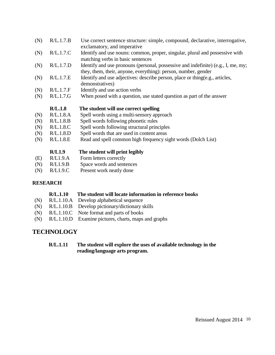| (N) | R/L.1.7.B | Use correct sentence structure: simple, compound, declarative, interrogative,<br>exclamatory, and imperative                                        |
|-----|-----------|-----------------------------------------------------------------------------------------------------------------------------------------------------|
| (N) | R/L.1.7.C | Identify and use nouns: common, proper, singular, plural and possessive with<br>matching verbs in basic sentences                                   |
| (N) | R/L.1.7.D | Identify and use pronouns (personal, possessive and indefinite) (e.g., I, me, my;<br>they, them, their, anyone, everything): person, number, gender |
| (N) | R/L.1.7.E | Identify and use adjectives: describe person, place or thing (e.g., articles,<br>demonstratives)                                                    |
| (N) | R/L.1.7.F | Identify and use action verbs                                                                                                                       |
| (N) | R/L.1.7.G | When posed with a question, use stated question as part of the answer                                                                               |
|     |           |                                                                                                                                                     |
|     | R/L.1.8   | The student will use correct spelling                                                                                                               |
| (N) | R/L.1.8.A | Spell words using a multi-sensory approach                                                                                                          |
| (N) | R/L.1.8.B | Spell words following phonetic rules                                                                                                                |
| (N) | R/L.1.8.C | Spell words following structural principles                                                                                                         |
| (N) | R/L.1.8.D | Spell words that are used in content areas                                                                                                          |
| (N) | R/L.1.8.E | Read and spell common high frequency sight words (Dolch List)                                                                                       |
|     | R/L1.9    | The student will print legibly                                                                                                                      |
| (E) | R/L1.9.A  | Form letters correctly                                                                                                                              |
| (N) | R/L1.9.B  | Space words and sentences                                                                                                                           |

#### **RESEARCH**

#### **R/L.1.10 The student will locate information in reference books**

- (N) R/L.1.10.A Develop alphabetical sequence
- (N) R/L.1.10.B Develop pictionary/dictionary skills
- (N) R/L.1.10.C Note format and parts of books
- (N) R/L.1.10.D Examine pictures, charts, maps and graphs

# **TECHNOLOGY**

### **R/L.1.11 The student will explore the uses of available technology in the reading/language arts program.**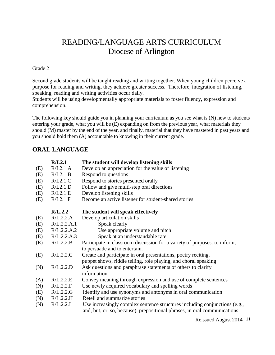# READING/LANGUAGE ARTS CURRICULUM Diocese of Arlington

Grade 2

Second grade students will be taught reading and writing together. When young children perceive a purpose for reading and writing, they achieve greater success. Therefore, integration of listening, speaking, reading and writing activities occur daily.

Students will be using developmentally appropriate materials to foster fluency, expression and comprehension.

The following key should guide you in planning your curriculum as you see what is (N) new to students entering your grade, what you will be (E) expanding on from the previous year, what materials they should (M) master by the end of the year, and finally, material that they have mastered in past years and you should hold them (A) accountable to knowing in their current grade.

# **ORAL LANGUAGE**

|     | R/L2.1      | The student will develop listening skills                                                                                                               |
|-----|-------------|---------------------------------------------------------------------------------------------------------------------------------------------------------|
| (E) | R/L2.1.A    | Develop an appreciation for the value of listening                                                                                                      |
| (E) | R/L2.1.B    | Respond to questions                                                                                                                                    |
| (E) | R/L2.1.C    | Respond to stories presented orally                                                                                                                     |
| (E) | R/L2.1.D    | Follow and give multi-step oral directions                                                                                                              |
| (E) | R/L2.1.E    | Develop listening skills                                                                                                                                |
| (E) | R/L2.1.F    | Become an active listener for student-shared stories                                                                                                    |
|     | R/L.2.2     | The student will speak effectively                                                                                                                      |
| (E) | R/L.2.2.A   | Develop articulation skills                                                                                                                             |
| (E) | R/L.2.2.A.1 | Speak clearly                                                                                                                                           |
| (E) | R/L.2.2.A.2 | Use appropriate volume and pitch                                                                                                                        |
| (E) | R/L.2.2.A.3 | Speak at an understandable rate                                                                                                                         |
| (E) | R/L.2.2.B   | Participate in classroom discussion for a variety of purposes: to inform,                                                                               |
|     |             | to persuade and to entertain.                                                                                                                           |
| (E) | R/L.2.2.C   | Create and participate in oral presentations, poetry reciting,                                                                                          |
|     |             | puppet shows, riddle telling, role playing, and choral speaking                                                                                         |
| (N) | R/L.2.2.D   | Ask questions and paraphrase statements of others to clarify                                                                                            |
|     |             | information                                                                                                                                             |
| (A) | R/L.2.2.E   | Convey meaning through expression and use of complete sentences                                                                                         |
| (N) | R/L.2.2.F   | Use newly acquired vocabulary and spelling words                                                                                                        |
| (E) | R/L.2.2.G   | Identify and use synonyms and antonyms in oral communication                                                                                            |
| (N) | R/L.2.2.H   | Retell and summarize stories                                                                                                                            |
| (N) | R/L.2.2.I   | Use increasingly complex sentence structures including conjunctions (e.g.,<br>and, but, or, so, because), prepositional phrases, in oral communications |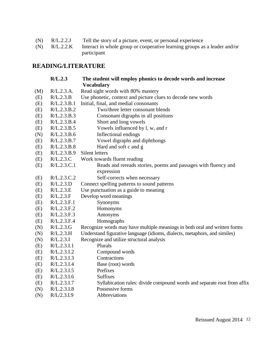| (N) | R/L.2.2J | Tell the story of a picture, event, or personal experience |  |  |  |  |
|-----|----------|------------------------------------------------------------|--|--|--|--|
|     |          |                                                            |  |  |  |  |

(N) R/L.2.2.K Interact in whole group or cooperative learning groups as a leader and/or participant

# **READING/LITERATURE**

|     | R/L.2.3     | The student will employ phonics to decode words and increase<br><b>Vocabulary</b> |
|-----|-------------|-----------------------------------------------------------------------------------|
| (M) | R/L.2.3.A.  | Read sight words with 80% mastery                                                 |
| (E) | R/L.2.3.B   | Use phonetic, context and picture clues to decode new words                       |
| (E) | R/L.2.3.B.1 | Initial, final, and medial consonants                                             |
| (E) | R/L.2.3.B.2 | Two/three letter consonant blends                                                 |
| (E) | R/L.2.3.B.3 | Consonant digraphs in all positions                                               |
| (E) | R/L.2.3.B.4 | Short and long vowels                                                             |
| (E) | R/L.2.3.B.5 | Vowels influenced by l, w, and r                                                  |
| (N) | R/L.2.3.B.6 | Inflectional endings                                                              |
| (E) | R/L.2.3.B.7 | Vowel digraphs and diphthongs                                                     |
| (E) | R/L.2.3.B.8 | Hard and soft c and g                                                             |
| (E) | R/L.2.3.B.9 | Silent letters                                                                    |
| (E) | R/L.2.3.C   | Work towards fluent reading                                                       |
| (E) | R/L.2.3.C.1 | Reads and rereads stories, poems and passages with fluency and                    |
|     |             | expression                                                                        |
| (E) | R/L.2.3.C.2 | Self-corrects when necessary                                                      |
| (E) | R/L.2.3.D   | Connect spelling patterns to sound patterns                                       |
| (E) | R/L.2.3.E   | Use punctuation as a guide to meaning                                             |
| (E) | R/L.2.3.F   | Develop word meanings                                                             |
| (E) | R/L.2.3.F.1 | Synonyms                                                                          |
| (E) | R/L.2.3.F.2 | Homonyms                                                                          |
| (E) | R/L.2.3.F.3 | Antonyms                                                                          |
| (E) | R/L.2.3.F.4 | Homographs                                                                        |
| (N) | R/L.2.3.G   | Recognize words may have multiple meanings in both oral and written forms         |
| (N) | R/L.2.3.H   | Understand figurative language (idioms, dialects, metaphors, and similes)         |
| (N) | R/L.2.3.I   | Recognize and utilize structural analysis                                         |
| (E) | R/L.2.3.I.1 | Plurals                                                                           |
| (E) | R/L.2.3.I.2 | Compound words                                                                    |
| (E) | R/L.2.3.I.3 | Contractions                                                                      |
| (E) | R/L.2.3.I.4 | Base (root) words                                                                 |
| (E) | R/L.2.3.I.5 | Prefixes                                                                          |
| (E) | R/L.2.3.I.6 | <b>Suffixes</b>                                                                   |
| (E) | R/L.2.3.I.7 | Syllabication rules: divide compound words and separate root from affix           |
| (N) | R/L.2.3.I.8 | Possessive forms                                                                  |
| (N) | R/L/2.3.I.9 | Abbreviations                                                                     |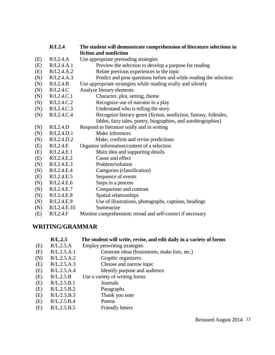|     | R/L2.4      | The student will demonstrate comprehension of literature selections in |
|-----|-------------|------------------------------------------------------------------------|
|     |             | fiction and nonfiction                                                 |
| (E) | R/L2.4.A    | Use appropriate prereading strategies                                  |
| (E) | R/L2.4.A.1  | Preview the selection to develop a purpose for reading                 |
| (E) | R/L2.4.A.2  | Relate previous experiences to the topic                               |
| (N) | R/L2.4.A.3  | Predict and pose questions before and while reading the selection      |
| (N) | R/L2.4.B    | Use appropriate strategies while reading orally and silently           |
| (N) | R/L2.4.C    | Analyze literary elements                                              |
| (N) | R/L2.4.C.1  | Character, plot, setting, theme                                        |
| (N) | R/L2.4.C.2  | Recognize use of narrator in a play                                    |
| (N) | R/L2.4.C.3  | Understand who is telling the story                                    |
| (N) | R/L2.4.C.4  | Recognize literary genre (fiction, nonfiction, fantasy, folktales,     |
|     |             | fables, fairy tales, poetry, biographies, and autobiographies)         |
| (N) | R/L2.4.D    | Respond to literature orally and in writing                            |
| (N) | R/L2.4.D.1  | Make inferences                                                        |
| (N) | R/L2.4.D.2  | Make, confirm and revise predictions                                   |
| (E) | R/L2.4.E    | Organize information/content of a selection                            |
| (E) | R/L2.4.E.1  | Main idea and supporting details                                       |
| (E) | R/L2.4.E.2  | Cause and effect                                                       |
| (N) | R/L2.4.E.3  | Problem/solution                                                       |
| (N) | R/L2.4.E.4  | Categories (classification)                                            |
| (E) | R/L2.4.E.5  | Sequence of events                                                     |
| (N) | R/L2.4.E.6  | Steps in a process                                                     |
| (N) | R/L2.4.E.7  | Comparison and contrast                                                |
| (N) | R/L2.4.E.8  | Spatial relationships                                                  |
| (N) | R/L2.4.E.9  | Use of illustrations, photographs, captions, headings                  |
| (N) | R/L2.4.E.10 | Summarize                                                              |
| (E) | R/L2.4.F    | Monitor comprehension; reread and self-correct if necessary            |

# **WRITING/GRAMMAR**

|     | R/L.2.5     | The student will write, revise, and edit daily in a variety of forms |
|-----|-------------|----------------------------------------------------------------------|
| (E) | R/L.2.5.A   | Employ prewriting strategies                                         |
| (E) | R/L.2.5.A.1 | Generate ideas (brainstorm, make lists, etc.)                        |
| (N) | R/L.2.5.A.2 | Graphic organizers                                                   |
| (E) | R/L.2.5.A.3 | Choose and narrow topic                                              |
| (E) | R/L.2.5.A.4 | Identify purpose and audience                                        |
| (E) | R/L.2.5.B   | Use a variety of writing forms                                       |
| (E) | R/L.2.5.B.1 | Journals                                                             |
| (E) | R/L.2.5.B.2 | Paragraphs                                                           |
| (E) | R/L/2.5.B.3 | Thank you note                                                       |
| (E) | R/L.2.5.B.4 | Poems                                                                |
| (E) | R/L.2.5.B.5 | <b>Friendly letters</b>                                              |
|     |             |                                                                      |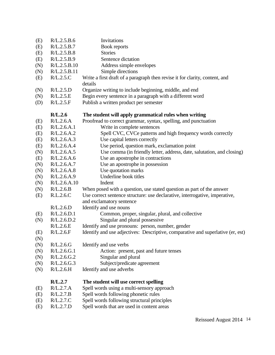| (E) | R/L.2.5.B.6  | Invitations                                                                     |
|-----|--------------|---------------------------------------------------------------------------------|
| (E) | R/L.2.5.B.7  | Book reports                                                                    |
| (E) | R/L.2.5.B.8  | <b>Stories</b>                                                                  |
| (E) | R/L.2.5.B.9  | Sentence dictation                                                              |
| (N) | R/L.2.5.B.10 | Address simple envelopes                                                        |
| (N) | R/L.2.5.B.11 | Simple directions                                                               |
| (E) | R/L.2.5.C    | Write a first draft of a paragraph then revise it for clarity, content, and     |
|     |              | details                                                                         |
| (N) | R/L.2.5.D    | Organize writing to include beginning, middle, and end                          |
| (N) | R/L.2.5.E    | Begin every sentence in a paragraph with a different word                       |
| (D) | R/L.2.5.F    | Publish a written product per semester                                          |
|     | R/L.2.6      | The student will apply grammatical rules when writing                           |
| (E) | R/L.2.6.A    | Proofread to correct grammar, syntax, spelling, and punctuation                 |
| (E) | R/L.2.6.A.1  | Write in complete sentences                                                     |
| (E) | R/L.2.6.A.2  | Spell CVC, CVCe patterns and high frequency words correctly                     |
| (E) | R/L.2.6.A.3  | Use capital letters correctly                                                   |
| (E) | R/L.2.6.A.4  | Use period, question mark, exclamation point                                    |
| (N) | R/L.2.6.A.5  | Use comma (in friendly letter, address, date, salutation, and closing)          |
| (E) | R/L.2.6.A.6  | Use an apostrophe in contractions                                               |
| (N) | R/L.2.6.A.7  | Use an apostrophe in possession                                                 |
| (N) | R/L.2.6.A.8  | Use quotation marks                                                             |
| (N) | R/L.2.6.A.9  | Underline book titles                                                           |
| (N) | R/L.2.6.A.10 | Indent                                                                          |
| (N) | R/L.2.6.B    | When posed with a question, use stated question as part of the answer           |
| (E) | R.L.2.6.C    | Use correct sentence structure: use declarative, interrogative, imperative,     |
|     |              | and exclamatory sentence                                                        |
|     | R/L.2.6.D    | Identify and use nouns                                                          |
| (E) | R/L.2.6.D.1  | Common, proper, singular, plural, and collective                                |
| (N) | R/L.2.6.D.2  | Singular and plural possessive                                                  |
|     | R/L.2.6.E    | Identify and use pronouns: person, number, gender                               |
| (E) | R/L.2.6.F    | Identify and use adjectives: Descriptive, comparative and superlative (er, est) |
| (N) |              |                                                                                 |
| (N) | R/L.2.6.G    | Identify and use verbs                                                          |
| (N) | R/L.2.6.G.1  | Action: present, past and future tenses                                         |
| (N) | R/L.2.6.G.2  | Singular and plural                                                             |
| (N) | R/L.2.6.G.3  | Subject/predicate agreement                                                     |
| (N) | R/L.2.6.H    | Identify and use adverbs                                                        |
|     | R/L.2.7      | The student will use correct spelling                                           |
| (E) | R/L.2.7.A    | Spell words using a multi-sensory approach                                      |
| (E) | R/L.2.7.B    | Spell words following phonetic rules                                            |
| (E) | R/L.2.7.C    | Spell words following structural principles                                     |
| (E) | R/L.2.7.D    | Spell words that are used in content areas                                      |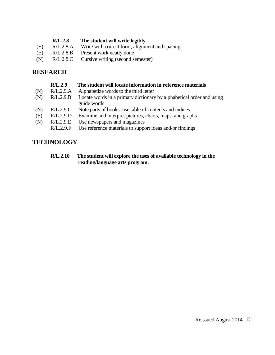| R/L.2.8 | The student will write legibly |
|---------|--------------------------------|
|---------|--------------------------------|

- (E) R/L.2.8.A Write with correct form, alignment and spacing
- (E) R/L.2.8.B Present work neatly done
- (N) R/L.2.8.C Cursive writing (second semester)

# **RESEARCH**

|     | R/L.2.9   | The student will locate information in reference materials                          |
|-----|-----------|-------------------------------------------------------------------------------------|
| (N) | R/L.2.9.A | Alphabetize words to the third letter                                               |
| (N) | R/L.2.9.B | Locate words in a primary dictionary by alphabetical order and using<br>guide words |
| (N) | R/L.2.9.C | Note parts of books: use table of contents and indices                              |
| (E) | R/L.2.9.D | Examine and interpret pictures, charts, maps, and graphs                            |
| (N) | R/L.2.9.E | Use newspapers and magazines                                                        |
|     | R/L.2.9.F | Use reference materials to support ideas and/or findings                            |
|     |           |                                                                                     |

# **TECHNOLOGY**

**R/L.2.10 The student will explore the uses of available technology in the reading/language arts program.**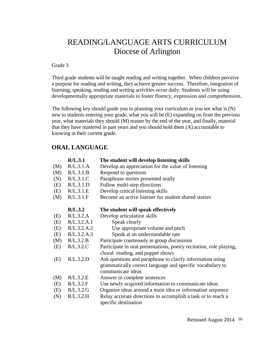# READING/LANGUAGE ARTS CURRICULUM Diocese of Arlington

#### Grade 3

Third grade students will be taught reading and writing together. When children perceive a purpose for reading and writing, they achieve greater success. Therefore, integration of listening, speaking, reading and writing activities occur daily. Students will be using developmentally appropriate materials to foster fluency, expression and comprehension.

The following key should guide you in planning your curriculum as you see what is (N) new to students entering your grade, what you will be (E) expanding on from the previous year, what materials they should (M) master by the end of the year, and finally, material that they have mastered in past years and you should hold them (A) accountable to knowing in their current grade.

## **ORAL LANGUAGE**

|     | R/L.3.1     | The student will develop listening skills                                                                                                   |
|-----|-------------|---------------------------------------------------------------------------------------------------------------------------------------------|
| (M) | R/L.3.1.A   | Develop an appreciation for the value of listening                                                                                          |
| (M) | R/L.3.1.B   | Respond to questions                                                                                                                        |
| (N) | R/L.3.1.C   | Paraphrase stories presented orally                                                                                                         |
| (E) | R/L.3.1.D   | Follow multi-step directions                                                                                                                |
| (E) | R/L.3.1.E   | Develop critical listening skills                                                                                                           |
| (M) | R/L.3.1.F   | Become an active listener for student shared stories                                                                                        |
|     | R/L.3.2     | The student will speak effectively                                                                                                          |
| (E) | R/L.3.2.A   | Develop articulation skills                                                                                                                 |
| (E) | R/L.3.2.A.1 | Speak clearly                                                                                                                               |
| (E) | R/L.3.2.A.2 | Use appropriate volume and pitch                                                                                                            |
| (E) | R/L.3.2.A.3 | Speak at an understandable rate                                                                                                             |
| (M) | R/L.3.2.B   | Participate courteously in group discussions                                                                                                |
| (E) | R/L.3.2.C   | Participate in oral presentations, poetry recitation, role playing,<br>choral reading, and puppet shows                                     |
| (E) | R/L.3.2.D   | Ask questions and paraphrase to clarify information using<br>grammatically correct language and specific vocabulary to<br>communicate ideas |
| (M) | R/L.3.2.E   | Answer in complete sentences                                                                                                                |
| (E) | R/L.3.2.F   | Use newly acquired information to communicate ideas                                                                                         |
| (E) | R/L.3.2.G   | Organize ideas around a main idea or information sequence                                                                                   |
| (N) | R/L.3.2.H   | Relay accurate directions to accomplish a task or to reach a<br>specific destination                                                        |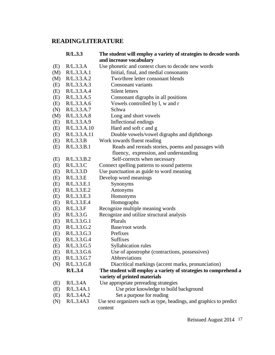# **READING/LITERATURE**

|     | R/L.3.3      | The student will employ a variety of strategies to decode words     |
|-----|--------------|---------------------------------------------------------------------|
|     |              | and increase vocabulary                                             |
| (E) | R/L.3.3.A    | Use phonetic and context clues to decode new words                  |
| (M) | R/L.3.3.A.1  | Initial, final, and medial consonants                               |
| (M) | R/L.3.3.A.2  | Two/three letter consonant blends                                   |
| (E) | R/L.3.3.A.3  | Consonant variants                                                  |
| (E) | R/L.3.3.A.4  | Silent letters                                                      |
| (E) | R/L.3.3.A.5  | Consonant digraphs in all positions                                 |
| (E) | R/L.3.3.A.6  | Vowels controlled by l, w and r                                     |
| (N) | R/L.3.3.A.7  | Schwa                                                               |
| (M) | R/L.3.3.A.8  | Long and short vowels                                               |
| (E) | R/L.3.3.A.9  | Inflectional endings                                                |
| (E) | R/L.3.3.A.10 | Hard and soft c and g                                               |
| (E) | R/L.3.3.A.11 | Double vowels/vowel digraphs and diphthongs                         |
| (E) | R/L.3.3.B    | Work towards fluent reading                                         |
| (E) | R/L.3.3.B.1  | Reads and rereads stories, poems and passages with                  |
|     |              | fluency, expression, and understanding                              |
| (E) | R/L.3.3.B.2  | Self-corrects when necessary                                        |
| (E) | R/L.3.3.C    | Connect spelling patterns to sound patterns                         |
| (E) | R/L.3.3.D    | Use punctuation as guide to word meaning                            |
| (E) | R/L.3.3.E    | Develop word meanings                                               |
| (E) | R/L.3.3.E.1  | Synonyms                                                            |
| (E) | R/L.3.3.E.2  | Antonyms                                                            |
| (E) | R/L.3.3.E.3  | Homonyms                                                            |
| (E) | R/L.3.3.E.4  | Homographs                                                          |
| (E) | R/L.3.3.F    | Recognize multiple meaning words                                    |
| (E) | R/L.3.3.G    | Recognize and utilize structural analysis                           |
| (E) | R/L.3.3.G.1  | Plurals                                                             |
| (E) | R/L.3.3.G.2  | Base/root words                                                     |
| (E) | R/L.3.3.G.3  | Prefixes                                                            |
| (E) | R/L.3.3.G.4  | <b>Suffixes</b>                                                     |
| (E) | R/L.3.3.G.5  | Syllabication rules                                                 |
| (E) | R/L.3.3.G.6  | Use of apostrophe (contractions, possessives)                       |
| (E) | R/L.3.3.G.7  | Abbreviations                                                       |
| (N) | R/L.3.3.G.8  | Diacritical markings (accent marks, pronunciation)                  |
|     | R/L.3.4      | The student will employ a variety of strategies to comprehend a     |
|     |              | variety of printed materials                                        |
| (E) | R/L.3.4A     | Use appropriate prereading strategies                               |
| (E) | R/L.3.4A.1   | Use prior knowledge to build background                             |
| (E) | R/L.3.4A.2   | Set a purpose for reading                                           |
| (N) | R/L.3.4A3    | Use text organizers such as type, headings, and graphics to predict |
|     |              | content                                                             |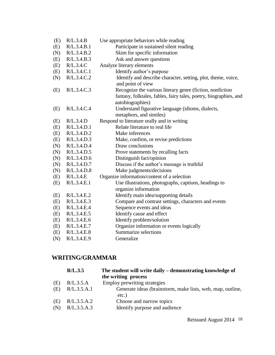| (E) | R/L.3.4.B   | Use appropriate behaviors while reading                                       |
|-----|-------------|-------------------------------------------------------------------------------|
| (E) | R/L.3.4.B.1 | Participate in sustained silent reading                                       |
| (N) | R/L.3.4.B.2 | Skim for specific information                                                 |
| (E) | R/L.3.4.B.3 | Ask and answer questions                                                      |
| (E) | R/L.3.4.C   | Analyze literary elements                                                     |
| (E) | R/L.3.4.C.1 | Identify author's purpose                                                     |
| (N) | R/L.3.4.C.2 | Identify and describe character, setting, plot, theme, voice,                 |
|     |             | and point of view                                                             |
| (E) | R/L.3.4.C.3 | Recognize the various literary genre (fiction, nonfiction                     |
|     |             | fantasy, folktales, fables, fairy tales, poetry, biographies, and             |
|     |             | autobiographies)                                                              |
| (E) | R/L.3.4.C.4 | Understand figurative language (idioms, dialects,                             |
|     |             | metaphors, and similes)                                                       |
| (E) | R/L.3.4.D   | Respond to literature orally and in writing                                   |
| (E) | R/L.3.4.D.1 | Relate literature to real life                                                |
| (E) | R/L.3.4.D.2 | Make inferences                                                               |
| (E) | R/L.3.4.D.3 | Make, confirm, or revise predictions                                          |
| (N) | R/L.3.4.D.4 | Draw conclusions                                                              |
| (N) | R/L.3.4.D.5 | Prove statements by recalling facts                                           |
| (N) | R/L.3.4.D.6 | Distinguish fact/opinion                                                      |
| (N) | R/L.3.4.D.7 | Discuss if the author's message is truthful                                   |
| (N) | R/L.3.4.D.8 | Make judgments/decisions                                                      |
| (E) | R/L.3.4.E   | Organize information/content of a selection                                   |
| (E) | R/L.3.4.E.1 | Use illustrations, photographs, captions, headings to<br>organize information |
| (E) | R/L.3.4.E.2 | Identify main idea/supporting details                                         |
| (E) | R/L.3.4.E.3 | Compare and contrast settings, characters and events                          |
| (E) | R/L.3.4.E.4 | Sequence events and ideas                                                     |
| (E) | R/L.3.4.E.5 | Identify cause and effect                                                     |
| (E) | R/L.3.4.E.6 | Identify problem/solution                                                     |
| (E) | R/L.3.4.E.7 | Organize information or events logically                                      |
| (E) | R/L.3.4.E.8 | Summarize selections                                                          |
| (N) | R/L.3.4.E.9 | Generalize                                                                    |
|     |             |                                                                               |

# **WRITING/GRAMMAR**

|     | R/L.3.5     | The student will write daily – demonstrating knowledge of           |
|-----|-------------|---------------------------------------------------------------------|
|     |             | the writing process                                                 |
| (E) | R/L.3.5.A   | Employ prewriting strategies                                        |
| (E) | R/L.3.5.A.1 | Generate ideas (brainstorm, make lists, web, map, outline,<br>etc.) |
| (E) | R/L.3.5.A.2 | Choose and narrow topics                                            |
| (N) | R/L.3.5.A.3 | Identify purpose and audience                                       |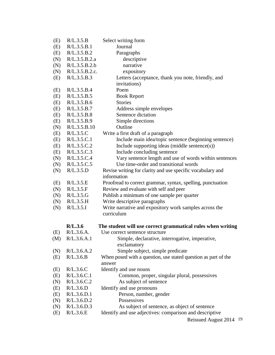| (E) | R/L.3.5.B         | Select writing form                                                  |
|-----|-------------------|----------------------------------------------------------------------|
| (E) | R/L.3.5.B.1       | Journal                                                              |
| (E) | R/L.3.5.B.2       | Paragraphs                                                           |
| (N) | R/L.3.5.B.2.a     | descriptive                                                          |
| (N) | R/L.3.5.B.2.b     | narrative                                                            |
| (N) | R/L.3.5.B.2.c.    | expository                                                           |
| (E) | R/L.3.5.B.3       | Letters (acceptance, thank you note, friendly, and                   |
|     |                   | invitations)                                                         |
| (E) | R/L.3.5.B.4       | Poem                                                                 |
| (E) | R/L.3.5.B.5       | <b>Book Report</b>                                                   |
| (E) | R/L.3.5.B.6       | <b>Stories</b>                                                       |
| (E) | R/L.3.5.B.7       | Address simple envelopes                                             |
| (E) | R/L.3.5.B.8       | Sentence dictation                                                   |
| (E) | R/L.3.5.B.9       | Simple directions                                                    |
| (N) | R/L.3.5.B.10      | Outline                                                              |
| (E) | R/L.3.5.C         | Write a first draft of a paragraph                                   |
| (E) | R/L.3.5.C.1       | Include main idea/topic sentence (beginning sentence)                |
| (E) | R/L.3.5.C.2       | Include supporting ideas (middle sentence $(s)$ )                    |
| (E) | R/L.3.5.C.3       | Include concluding sentence                                          |
| (N) | R/L.3.5.C.4       | Vary sentence length and use of words within sentences               |
| (N) | R/L.3.5.C.5       | Use time-order and transitional words                                |
| (N) | R/L.3.5.D         | Revise writing for clarity and use specific vocabulary and           |
|     |                   | information                                                          |
| (E) | R/L.3.5.E         | Proofread to correct grammar, syntax, spelling, punctuation          |
| (N) | R/L.3.5.F         | Review and evaluate with self and peer                               |
| (N) | R/L.3.5.G         | Publish a minimum of one sample per quarter                          |
| (N) | R/L.3.5.H         | Write descriptive paragraphs                                         |
| (N) | R/L.3.5.I         | Write narrative and expository work samples across the<br>curriculum |
|     | R/L.3.6           | The student will use correct grammatical rules when writing          |
| (E) | R/L.3.6.A.        | Use correct sentence structure                                       |
|     | $(M)$ R/L.3.6.A.1 | Simple, declarative, interrogative, imperative,                      |
|     |                   | exclamatory                                                          |
| (N) | R/L.3.6.A.2       | Simple subject, simple predicate                                     |
| (E) | R/L.3.6.B         | When posed with a question, use stated question as part of the       |
|     |                   | answer                                                               |
| (E) | R/L.3.6.C         | Identify and use nouns                                               |
| (E) | R/L.3.6.C.1       | Common, proper, singular plural, possessives                         |
| (N) | R/L.3.6.C.2       | As subject of sentence                                               |
| (E) | R/L.3.6.D         | Identify and use pronouns                                            |
| (E) | R/L.3.6.D.1       | Person, number, gender                                               |
| (N) | R/L.3.6.D.2       | Possessives                                                          |
| (N) | R/L.3.6.D.3       | As subject of sentence, as object of sentence                        |
| (E) | R/L.3.6.E         | Identify and use adjectives: comparison and descriptive              |
|     |                   | Reissued August 2014 19                                              |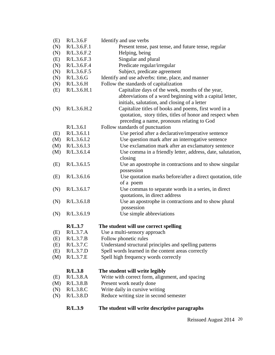|            | R/L.3.9                    | The student will write descriptive paragraphs                                                                                                                    |
|------------|----------------------------|------------------------------------------------------------------------------------------------------------------------------------------------------------------|
| (N)        | R/L.3.8.D                  | Reduce writing size in second semester                                                                                                                           |
| (N)        | R/L.3.8.C                  | Write daily in cursive writing                                                                                                                                   |
| (M)        | R/L.3.8.B                  | Present work neatly done                                                                                                                                         |
| (E)        | R/L.3.8.A                  | Write with correct form, alignment, and spacing                                                                                                                  |
|            | R/L.3.8                    | The student will write legibly                                                                                                                                   |
|            |                            |                                                                                                                                                                  |
| (M)        | R/L.3.7.E                  | Spell high frequency words correctly                                                                                                                             |
| (E)        | R/L.3.7.D                  | Spell words learned in the content areas correctly                                                                                                               |
| (E)        | R/L.3.7.C                  | Understand structural principles and spelling patterns                                                                                                           |
| (E)        | R/L.3.7.B                  | Follow phonetic rules                                                                                                                                            |
| (E)        | R/L.3.7.A                  | Use a multi-sensory approach                                                                                                                                     |
|            | R/L.3.7                    | The student will use correct spelling                                                                                                                            |
| (N)        | R/L.3.6.I.9                | Use simple abbreviations                                                                                                                                         |
| (N)        | R/L.3.6.I.8                | Use an apostrophe in contractions and to show plural<br>possession                                                                                               |
| (N)        | R/L.3.6.I.7                | Use commas to separate words in a series, in direct<br>quotations, in direct address                                                                             |
| (E)        |                            | Use quotation marks before/after a direct quotation, title<br>of a poem                                                                                          |
|            | R/L.3.6.I.6                | possession                                                                                                                                                       |
| (E)        | R/L.3.6.I.5                | closing<br>Use an apostrophe in contractions and to show singular                                                                                                |
| (M)        | R/L.3.6.I.4                | Use comma in a friendly letter, address, date, salutation,                                                                                                       |
| (M)        | R/L.3.6.I.3                | Use exclamation mark after an exclamatory sentence                                                                                                               |
| (M)        | R/L.3.6.I.2                | Use question mark after an interrogative sentence                                                                                                                |
| (E)        | R/L.3.6.I.1                | Use period after a declarative/imperative sentence                                                                                                               |
|            | R/L.3.6.1                  | Follow standards of punctuation                                                                                                                                  |
| (N)        | R/L.3.6.H.2                | Capitalize titles of books and poems, first word in a<br>quotation, story titles, titles of honor and respect when<br>preceding a name, pronouns relating to God |
|            |                            | abbreviations of a word beginning with a capital letter,<br>initials, salutation, and closing of a letter                                                        |
| (E)        | R/L.3.6.H.1                | Capitalize days of the week, months of the year,                                                                                                                 |
| (N)        | R/L.3.6.H                  | Follow the standards of capitalization                                                                                                                           |
| (N)        | R/L.3.6.G                  | Identify and use adverbs: time, place, and manner                                                                                                                |
| (N)        | R/L.3.6.F.5                | Subject, predicate agreement                                                                                                                                     |
| (N)        | R/L.3.6.F.4                | Predicate regular/irregular                                                                                                                                      |
| (N)<br>(E) | R/L.3.6.F.2<br>R/L.3.6.F.3 | Helping, being<br>Singular and plural                                                                                                                            |
| (N)        | R/L.3.6.F.1                | Present tense, past tense, and future tense, regular                                                                                                             |
| (E)        | R/L.3.6.F                  | Identify and use verbs                                                                                                                                           |

Reissued August 2014 20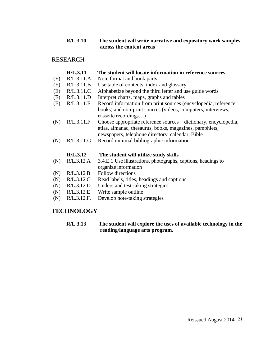### **R/L.3.10 The student will write narrative and expository work samples across the content areas**

## RESEARCH

|     | R/L.3.11   | The student will locate information in reference sources                                                                                                                        |
|-----|------------|---------------------------------------------------------------------------------------------------------------------------------------------------------------------------------|
| (E) | R/L.3.11.A | Note format and book parts                                                                                                                                                      |
| (E) | R/L.3.11.B | Use table of contents, index and glossary                                                                                                                                       |
| (E) | R/L.3.11.C | Alphabetize beyond the third letter and use guide words                                                                                                                         |
| (E) | R/L.3.11.D | Interpret charts, maps, graphs and tables                                                                                                                                       |
| (E) | R/L.3.11.E | Record information from print sources (encyclopedia, reference<br>books) and non-print sources (videos, computers, interviews,                                                  |
|     |            | cassette recordings)                                                                                                                                                            |
| (N) | R/L.3.11.F | Choose appropriate reference sources – dictionary, encyclopedia,<br>atlas, almanac, thesaurus, books, magazines, pamphlets,<br>newspapers, telephone directory, calendar, Bible |
| (N) | R/L.3.11.G | Record minimal bibliographic information                                                                                                                                        |
|     | R/L.3.12   | The student will utilize study skills                                                                                                                                           |
| (N) | R/L.3.12.A | 3.4.E.1 Use illustrations, photographs, captions, headings to<br>organize information                                                                                           |
| (N) | R/L.3.12 B | Follow directions                                                                                                                                                               |
| (N) | R/L.3.12.C | Read labels, titles, headings and captions                                                                                                                                      |
|     |            |                                                                                                                                                                                 |

- (N) R/L.3.12.D Understand test-taking strategies
- (N) R/L.3.12.E Write sample outline
- (N) R/L.3.12.F. Develop note-taking strategies

# **TECHNOLOGY**

#### **R/L.3.13 The student will explore the uses of available technology in the reading/language arts program.**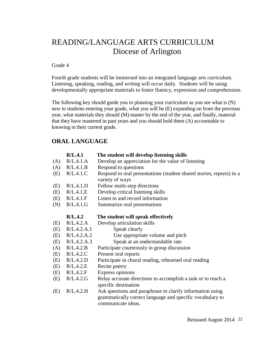# READING/LANGUAGE ARTS CURRICULUM Diocese of Arlington

#### Grade 4

Fourth grade students will be immersed into an integrated language arts curriculum. Listening, speaking, reading, and writing will occur daily. Students will be using developmentally appropriate materials to foster fluency, expression and comprehension.

The following key should guide you in planning your curriculum as you see what is (N) new to students entering your grade, what you will be (E) expanding on from the previous year, what materials they should (M) master by the end of the year, and finally, material that they have mastered in past years and you should hold them (A) accountable to knowing in their current grade.

# **ORAL LANGUAGE**

|     | R/L.4.1     | The student will develop listening skills                                                                                                    |
|-----|-------------|----------------------------------------------------------------------------------------------------------------------------------------------|
| (A) | R/L.4.1.A   | Develop an appreciation for the value of listening                                                                                           |
| (A) | R/L.4.1.B   | Respond to questions                                                                                                                         |
| (E) | R/L.4.1.C   | Respond to oral presentations (student shared stories, reports) in a<br>variety of ways                                                      |
| (E) | R/L.4.1.D   | Follow multi-step directions                                                                                                                 |
| (E) | R/L.4.1.E   | Develop critical listening skills                                                                                                            |
| (E) | R/L.4.1.F   | Listen to and record information                                                                                                             |
| (N) | R/L.4.1.G   | Summarize oral presentations                                                                                                                 |
|     | R/L.4.2     | The student will speak effectively                                                                                                           |
| (E) | R/L.4.2.A   | Develop articulation skills                                                                                                                  |
| (E) | R/L.4.2.A.1 | Speak clearly                                                                                                                                |
| (E) | R/L.4.2.A.2 | Use appropriate volume and pitch                                                                                                             |
| (E) | R/L.4.2.A.3 | Speak at an understandable rate                                                                                                              |
| (A) | R/L.4.2.B   | Participate courteously in group discussion                                                                                                  |
| (E) | R/L.4.2.C   | Present oral reports                                                                                                                         |
| (E) | R/L.4.2.D   | Participate in choral reading, rehearsed oral reading                                                                                        |
| (E) | R/L.4.2.E   | Recite poetry                                                                                                                                |
| (E) | R/L.4.2.F   | Express opinions                                                                                                                             |
| (E) | R/L.4.2.G   | Relay accurate directions to accomplish a task or to reach a<br>specific destination                                                         |
| (E) | R/L.4.2.H   | Ask questions and paraphrase to clarify information using<br>grammatically correct language and specific vocabulary to<br>communicate ideas. |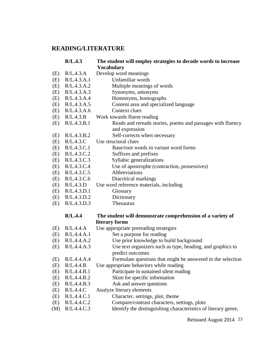# **READING/LITERATURE**

|     | R/L.4.3           | The student will employ strategies to decode words to increase<br><b>Vocabulary</b> |
|-----|-------------------|-------------------------------------------------------------------------------------|
| (E) | R/L.4.3.A         | Develop word meanings                                                               |
| (E) | R/L.4.3.A.1       | Unfamiliar words                                                                    |
| (E) | R/L.4.3.A.2       | Multiple meanings of words                                                          |
| (E) | R/L.4.3.A.3       | Synonyms, antonyms                                                                  |
| (E) | R/L.4.3.A.4       | Homonyms, homographs                                                                |
| (E) | R/L.4.3.A.5       | Content area and specialized language                                               |
| (E) | R/L.4.3.A.6       | Context clues                                                                       |
| (E) | R/L.4.3.B         | Work towards fluent reading                                                         |
| (E) | R/L.4.3.B.1       | Reads and rereads stories, poems and passages with fluency<br>and expression        |
| (E) | R/L.4.3.B.2       | Self-corrects when necessary                                                        |
| (E) | R/L.4.3.C         | Use structural clues                                                                |
| (E) | R/L.4.3.C.1       | Base/root words in variant word forms                                               |
| (E) | R/L.4.3.C.2       | Suffixes and prefixes                                                               |
| (E) | R/L.4.3.C.3       | Syllabic generalizations                                                            |
| (E) | R/L.4.3.C.4       | Use of apostrophe (contraction, possessives)                                        |
| (E) | R/L.4.3.C.5       | Abbreviations                                                                       |
| (E) | R/L.4.3.C.6       | Diacritical markings                                                                |
| (E) | R/L.4.3.D         | Use word reference materials, including                                             |
| (E) | R/L.4.3.D.1       | Glossary                                                                            |
|     | (E) $R/L.4.3.D.2$ | Dictionary                                                                          |
| (E) | R/L.4.3.D.3       | Thesaurus                                                                           |
|     | R/L.4.4           | The student will demonstrate comprehension of a variety of                          |
|     |                   | literary forms                                                                      |
| (E) | R/L.4.4.A         | Use appropriate prereading strategies                                               |
| (E) | R/L.4.4.A.1       | Set a purpose for reading                                                           |
| (E) | R/L.4.4.A.2       | Use prior knowledge to build background                                             |
| (E) | R/L.4.4.A.3       | Use text organizers such as type, heading, and graphics to<br>predict outcomes      |
|     | (E) R/L.4.4.A.4   | Formulate questions that might be answered in the selection                         |
| (E) | R/L.4.4.B         | Use appropriate behaviors while reading                                             |
| (E) | R/L.4.4.B.1       | Participate in sustained silent reading                                             |
| (E) | R/L.4.4.B.2       | Skim for specific information                                                       |
| (E) | R/L.4.4.B.3       | Ask and answer questions                                                            |
| (E) | R/L.4.4.C         | Analyze literary elements                                                           |
| (E) | R/L.4.4.C.1       | Character, settings, plot, theme                                                    |
| (E) | R/L.4.4.C.2       | Compare/contrast characters, settings, plots                                        |
| (M) | R/L.4.4.C.3       | Identify the distinguishing characteristics of literary genre,                      |

Reissued August 2014 23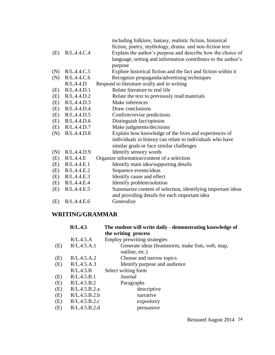|                   | including folklore, fantasy, realistic fiction, historical    |
|-------------------|---------------------------------------------------------------|
|                   | fiction, poetry, mythology, drama, and non-fiction text       |
| (E) $R/L.4.4.C.4$ | Explain the author's purpose and describe how the choice of   |
|                   | language, setting and information contributes to the author's |

purpose

- (N) R/L.4.4.C.5 Explore historical fiction and the fact and fiction within it
- (N) R/L.4.4.C.6 Recognize propaganda/advertising techniques
	- R/L.4.4.D Respond to literature orally and in writing
- (E) R/L.4.4.D.1 Relate literature to real life
- (E) R/L.4.4.D.2 Relate the text to previously read materials
- (E) R/L.4.4.D.3 Make inferences
- (E) R/L.4.4.D.4 Draw conclusions
- (E) R/L.4.4.D.5 Confirm/revise predictions
- (E) R/L.4.4.D.6 Distinguish fact/opinion
- (E) R/L.4.4.D.7 Make judgments/decisions
- (N) R/L.4.4.D.8 Explain how knowledge of the lives and experiences of individuals in history can relate to individuals who have similar goals or face similar challenges
- (N) R/L.4.4.D.9 Identify sensory words
- (E) R/L.4.4.E Organize information/content of a selection
- (E) R/L.4.4.E.1 Identify main idea/supporting details
- (E) R/L.4.4.E.2 Sequence events/ideas
- (E) R/L.4.4.E.3 Identify cause and effect
- (E) R/L.4.4.E.4 Identify problem/solution
- (E) R/L.4.4.E.5 Summarize content of selection, identifying important ideas and providing details for each important idea
- (E) R/L.4.4.E.6 Generalize

# **WRITING/GRAMMAR**

|     | R/L.4.5       | The student will write daily - demonstrating knowledge of<br>the writing process |
|-----|---------------|----------------------------------------------------------------------------------|
|     | R/L.4.5.A     | Employ prewriting strategies                                                     |
| (E) | R/L.4.5.A.1   | Generate ideas (brainstorm, make lists, web, map,<br>outline, etc.)              |
| (E) | R/L.4.5.A.2   | Choose and narrow topics                                                         |
| (E) | R/L.4.5.A.3   | Identify purpose and audience                                                    |
|     | R/L.4.5.B     | Select writing form                                                              |
| (E) | R/L.4.5.B.1   | Journal                                                                          |
| (E) | R/L.4.5.B.2   | Paragraphs                                                                       |
| (E) | R/L.4.5.B.2.a | descriptive                                                                      |
| (E) | R/L.4.5.B.2.b | narrative                                                                        |
| (E) | R/L.4.5.B.2.c | expository                                                                       |
| (E) | R/L.4.5.B.2.d | persuasive                                                                       |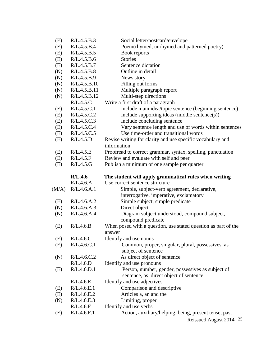| (E)   | R/L.4.5.B.3  | Social letter/postcard/envelope                                                  |
|-------|--------------|----------------------------------------------------------------------------------|
| (E)   | R/L.4.5.B.4  | Poem(rhymed, unrhymed and patterned poetry)                                      |
| (E)   | R/L.4.5.B.5  | Book reports                                                                     |
| (E)   | R/L.4.5.B.6  | <b>Stories</b>                                                                   |
| (E)   | R/L.4.5.B.7  | Sentence dictation                                                               |
| (N)   | R/L.4.5.B.8  | Outline in detail                                                                |
| (N)   | R/L.4.5.B.9  | News story                                                                       |
| (N)   | R/L.4.5.B.10 | Filling out forms                                                                |
| (N)   | R/L.4.5.B.11 | Multiple paragraph report                                                        |
| (N)   | R/L.4.5.B.12 | Multi-step directions                                                            |
|       | R/L.4.5.C    | Write a first draft of a paragraph                                               |
| (E)   | R/L.4.5.C.1  | Include main idea/topic sentence (beginning sentence)                            |
| (E)   | R/L.4.5.C.2  | Include supporting ideas (middle sentence(s))                                    |
| (E)   | R/L.4.5.C.3  | Include concluding sentence                                                      |
| (E)   | R/L.4.5.C.4  | Vary sentence length and use of words within sentences                           |
| (E)   | R/L.4.5.C.5  | Use time-order and transitional words                                            |
| (E)   | R/L.4.5.D    | Revise writing for clarity and use specific vocabulary and                       |
|       |              | information                                                                      |
| (E)   | R/L.4.5.E    | Proofread to correct grammar, syntax, spelling, punctuation                      |
| (E)   | R/L.4.5.F    | Review and evaluate with self and peer                                           |
| (E)   | R/L.4.5.G    | Publish a minimum of one sample per quarter                                      |
|       |              |                                                                                  |
|       | R/L.4.6      | The student will apply grammatical rules when writing                            |
|       |              |                                                                                  |
|       | R/L.4.6.A    | Use correct sentence structure                                                   |
| (M/A) | R/L.4.6.A.1  | Simple, subject-verb agreement, declarative,                                     |
|       |              | interrogative, imperative, exclamatory                                           |
| (E)   | R/L.4.6.A.2  | Simple subject, simple predicate                                                 |
| (N)   | R/L.4.6.A.3  | Direct object                                                                    |
| (N)   | R/L.4.6.A.4  | Diagram subject understood, compound subject,                                    |
|       |              | compound predicate                                                               |
| (E)   | R/L.4.6.B    | When posed with a question, use stated question as part of the                   |
|       |              | answer                                                                           |
| (E)   | R/L.4.6.C    | Identify and use nouns                                                           |
| (E)   | R/L.4.6.C.1  | Common, proper, singular, plural, possessives, as                                |
|       |              | subject of sentence                                                              |
| (N)   | R/L.4.6.C.2  | As direct object of sentence                                                     |
|       | R/L.4.6.D    | Identify and use pronouns                                                        |
| (E)   | R/L.4.6.D.1  | Person, number, gender, possessives as subject of                                |
|       |              | sentence, as direct object of sentence                                           |
|       | R/L.4.6.E    | Identify and use adjectives                                                      |
| (E)   | R/L.4.6.E.1  | Comparison and descriptive                                                       |
| (E)   | R/L.4.6.E.2  | Articles a, an and the                                                           |
| (N)   | R/L.4.6.E.3  | Limiting, proper                                                                 |
|       | R/L.4.6.F    | Identify and use verbs                                                           |
| (E)   | R/L.4.6.F.1  | Action, auxiliary/helping, being, present tense, past<br>Reissued August 2014 25 |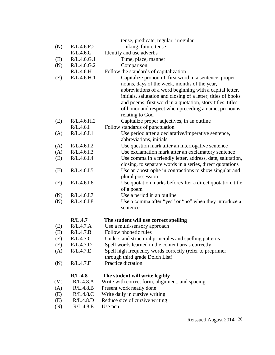|            |                        | tense, predicate, regular, irregular                                    |
|------------|------------------------|-------------------------------------------------------------------------|
| (N)        | R/L.4.6.F.2            | Linking, future tense                                                   |
|            | R/L.4.6.G              | Identify and use adverbs                                                |
| (E)        | R/L.4.6.G.1            | Time, place, manner                                                     |
| (N)        | R/L.4.6.G.2            | Comparison                                                              |
|            | R/L.4.6.H              | Follow the standards of capitalization                                  |
| (E)        | R/L.4.6.H.1            | Capitalize pronoun I, first word in a sentence, proper                  |
|            |                        | nouns, days of the week, months of the year,                            |
|            |                        | abbreviations of a word beginning with a capital letter,                |
|            |                        | initials, salutation and closing of a letter, titles of books           |
|            |                        | and poems, first word in a quotation, story titles, titles              |
|            |                        | of honor and respect when preceding a name, pronouns                    |
|            |                        | relating to God                                                         |
| (E)        | R/L.4.6.H.2            | Capitalize proper adjectives, in an outline                             |
|            | R/L.4.6.1              | Follow standards of punctuation                                         |
| (A)        | R/L.4.6.I.1            | Use period after a declarative/imperative sentence,                     |
|            |                        | abbreviations, initials                                                 |
| (A)        | R/L.4.6.I.2            | Use question mark after an interrogative sentence                       |
| (A)        | R/L.4.6.I.3            | Use exclamation mark after an exclamatory sentence                      |
| (E)        | R/L.4.6.I.4            | Use comma in a friendly letter, address, date, salutation,              |
|            |                        | closing, to separate words in a series, direct quotations               |
| (E)        | R/L.4.6.I.5            | Use an apostrophe in contractions to show singular and                  |
|            | R/L.4.6.I.6            | plural possession                                                       |
| (E)        |                        | Use quotation marks before/after a direct quotation, title<br>of a poem |
| (N)        | R/L.4.6.I.7            | Use a period in an outline                                              |
| (N)        | R/L.4.6.I.8            | Use a comma after "yes" or "no" when they introduce a                   |
|            |                        | sentence                                                                |
|            |                        |                                                                         |
|            | R/L.4.7                | The student will use correct spelling                                   |
| (E)        | R/L.4.7.A              | Use a multi-sensory approach                                            |
| (E)        | R/L.4.7.B              | Follow phonetic rules                                                   |
| (E)        | R/L.4.7.C              | Understand structural principles and spelling patterns                  |
| (E)        | R/L.4.7.D              | Spell words learned in the content areas correctly                      |
| (A)        | R/L.4.7.E              | Spell high frequency words correctly (refer to preprimer                |
|            |                        | through third grade Dolch List)                                         |
| (N)        | R/L.4.7.F              | Practice dictation                                                      |
|            |                        |                                                                         |
|            | R/L.4.8                | The student will write legibly                                          |
| (M)        | R/L.4.8.A<br>R/L.4.8.B | Write with correct form, alignment, and spacing                         |
| (A)<br>(E) | R/L.4.8.C              | Present work neatly done<br>Write daily in cursive writing              |
|            | R/L.4.8.D              | Reduce size of cursive writing                                          |
| (E)<br>(N) | R/L.4.8.E              | Use pen                                                                 |
|            |                        |                                                                         |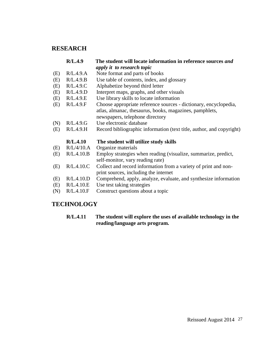# **RESEARCH**

|     | R/L.4.9    | The student will locate information in reference sources and         |
|-----|------------|----------------------------------------------------------------------|
|     |            | apply it to research topic                                           |
| (E) | R/L.4.9.A  | Note format and parts of books                                       |
| (E) | R/L.4.9.B  | Use table of contents, index, and glossary                           |
| (E) | R/L.4.9.C  | Alphabetize beyond third letter                                      |
| (E) | R/L.4.9.D  | Interpret maps, graphs, and other visuals                            |
| (E) | R/L.4.9.E  | Use library skills to locate information                             |
| (E) | R/L.4.9.F  | Choose appropriate reference sources - dictionary, encyclopedia,     |
|     |            | atlas, almanac, thesaurus, books, magazines, pamphlets,              |
|     |            | newspapers, telephone directory                                      |
| (N) | R/L.4.9.G  | Use electronic database                                              |
| (E) | R/L.4.9.H  | Record bibliographic information (text title, author, and copyright) |
|     | R/L.4.10   | The student will utilize study skills                                |
| (E) | R/L/4/10.A | Organize materials                                                   |
| (E) | R/L.4.10.B | Employ strategies when reading (visualize, summarize, predict,       |
|     |            | self-monitor, vary reading rate)                                     |
| (E) | R/L.4.10.C | Collect and record information from a variety of print and non-      |
|     |            | print sources, including the internet                                |
| (E) | R/L.4.10.D | Comprehend, apply, analyze, evaluate, and synthesize information     |
| (E) | R/L.4.10.E | Use test taking strategies                                           |
| (N) | R/L.4.10.F | Construct questions about a topic                                    |

# **TECHNOLOGY**

## **R/L.4.11 The student will explore the uses of available technology in the reading/language arts program.**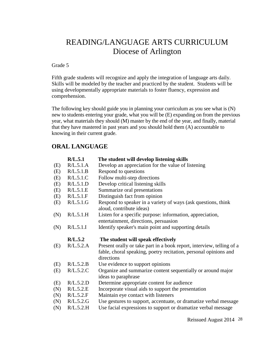# READING/LANGUAGE ARTS CURRICULUM Diocese of Arlington

#### Grade 5

Fifth grade students will recognize and apply the integration of language arts daily. Skills will be modeled by the teacher and practiced by the student. Students will be using developmentally appropriate materials to foster fluency, expression and comprehension.

The following key should guide you in planning your curriculum as you see what is (N) new to students entering your grade, what you will be (E) expanding on from the previous year, what materials they should (M) master by the end of the year, and finally, material that they have mastered in past years and you should hold them (A) accountable to knowing in their current grade.

# **ORAL LANGUAGE**

|     | R/L.5.1   | The student will develop listening skills                                                                                                               |
|-----|-----------|---------------------------------------------------------------------------------------------------------------------------------------------------------|
| (E) | R/L.5.1.A | Develop an appreciation for the value of listening                                                                                                      |
| (E) | R/L.5.1.B | Respond to questions                                                                                                                                    |
| (E) | R/L.5.1.C | Follow multi-step directions                                                                                                                            |
| (E) | R/L.5.1.D | Develop critical listening skills                                                                                                                       |
| (E) | R/L.5.1.E | Summarize oral presentations                                                                                                                            |
| (E) | R/L.5.1.F | Distinguish fact from opinion                                                                                                                           |
| (E) | R/L.5.1.G | Respond to speaker in a variety of ways (ask questions, think<br>aloud, contribute ideas)                                                               |
| (N) | R/L.5.1.H | Listen for a specific purpose: information, appreciation,                                                                                               |
|     |           | entertainment, directions, persuasion                                                                                                                   |
| (N) | R/L.5.1.I | Identify speaker's main point and supporting details                                                                                                    |
|     | R/L.5.2   | The student will speak effectively                                                                                                                      |
|     |           |                                                                                                                                                         |
| (E) | R/L.5.2.A | Present orally or take part in a book report, interview, telling of a<br>fable, choral speaking, poetry recitation, personal opinions and<br>directions |
| (E) | R/L.5.2.B | Use evidence to support opinions                                                                                                                        |
| (E) | R/L.5.2.C | Organize and summarize content sequentially or around major<br>ideas to paraphrase                                                                      |
| (E) | R/L.5.2.D | Determine appropriate content for audience                                                                                                              |
| (N) | R/L.5.2.E | Incorporate visual aids to support the presentation                                                                                                     |
| (N) | R/L.5.2.F | Maintain eye contact with listeners                                                                                                                     |
| (N) | R/L.5.2.G | Use gestures to support, accentuate, or dramatize verbal message                                                                                        |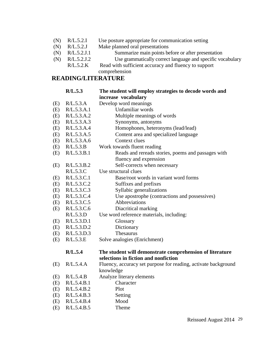- (N) R/L.5.2.I Use posture appropriate for communication setting
- (N) R/L.5.2.J Make planned oral presentations
- (N) R/L.5.2.J.1 Summarize main points before or after presentation
- (N) R/L.5.2.J.2 Use grammatically correct language and specific vocabulary
- R/L.5.2.K Read with sufficient accuracy and fluency to support comprehension

# **READING/LITERATURE**

|     | R/L.5.3     | The student will employ strategies to decode words and         |
|-----|-------------|----------------------------------------------------------------|
|     |             | increase vocabulary                                            |
| (E) | R/L.5.3.A   | Develop word meanings                                          |
| (E) | R/L.5.3.A.1 | Unfamiliar words                                               |
| (E) | R/L.5.3.A.2 | Multiple meanings of words                                     |
| (E) | R/L.5.3.A.3 | Synonyms, antonyms                                             |
| (E) | R/L.5.3.A.4 | Homophones, heteronyms (lead/lead)                             |
| (E) | R/L.5.3.A.5 | Content area and specialized language                          |
| (E) | R/L.5.3.A.6 | Context clues                                                  |
| (E) | R/L.5.3.B   | Work towards fluent reading                                    |
| (E) | R/L.5.3.B.1 | Reads and rereads stories, poems and passages with             |
|     |             | fluency and expression                                         |
| (E) | R/L.5.3.B.2 | Self-corrects when necessary                                   |
|     | R/L.5.3.C   | Use structural clues                                           |
| (E) | R/L.5.3.C.1 | Base/root words in variant word forms                          |
| (E) | R/L.5.3.C.2 | Suffixes and prefixes                                          |
| (E) | R/L.5.3.C.3 | Syllabic generalizations                                       |
| (E) | R/L.5.3.C.4 | Use apostrophe (contractions and possessives)                  |
| (E) | R/L.5.3.C.5 | Abbreviations                                                  |
| (E) | R/L.5.3.C.6 | Diacritical marking                                            |
|     | R/L.5.3.D   | Use word reference materials, including:                       |
| (E) | R/L.5.3.D.1 | Glossary                                                       |
| (E) | R/L.5.3.D.2 | Dictionary                                                     |
| (E) | R/L.5.3.D.3 | Thesaurus                                                      |
| (E) | R/L.5.3.E   | Solve analogies (Enrichment)                                   |
|     | R/L.5.4     | The student will demonstrate comprehension of literature       |
|     |             | selections in fiction and nonfiction                           |
| (E) | R/L.5.4.A   | Fluency, accuracy set purpose for reading, activate background |
|     |             | knowledge                                                      |
| (E) | R/L.5.4.B   | Analyze literary elements                                      |
| (E) | R/L.5.4.B.1 | Character                                                      |
| (E) | R/L.5.4.B.2 | Plot                                                           |
| (E) | R/L.5.4.B.3 | Setting                                                        |
| (E) | R/L.5.4.B.4 | Mood                                                           |
| (E) | R/L.5.4.B.5 | Theme                                                          |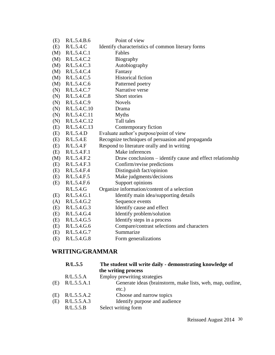| (E) | R/L.5.4.B.6  | Point of view                                             |
|-----|--------------|-----------------------------------------------------------|
| (E) | R/L.5.4.C    | Identify characteristics of common literary forms         |
| (M) | R/L.5.4.C.1  | Fables                                                    |
| (M) | R/L.5.4.C.2  | Biography                                                 |
| (M) | R/L.5.4.C.3  | Autobiography                                             |
| (M) | R/L.5.4.C.4  | Fantasy                                                   |
| (M) | R/L.5.4.C.5  | <b>Historical fiction</b>                                 |
| (M) | R/L.5.4.C.6  | Patterned poetry                                          |
| (N) | R/L.5.4.C.7  | Narrative verse                                           |
| (N) | R/L.5.4.C.8  | Short stories                                             |
| (N) | R/L.5.4.C.9  | <b>Novels</b>                                             |
| (N) | R/L.5.4.C.10 | Drama                                                     |
| (N) | R/L.5.4.C.11 | <b>Myths</b>                                              |
| (N) | R/L.5.4.C.12 | Tall tales                                                |
| (E) | R/L.5.4.C.13 | Contemporary fiction                                      |
| (E) | R/L.5.4.D    | Evaluate author's purpose/point of view                   |
| (E) | R/L.5.4.E    | Recognize techniques of persuasion and propaganda         |
| (E) | R/L.5.4.F    | Respond to literature orally and in writing               |
| (E) | R/L.5.4.F.1  | Make inferences                                           |
| (M) | R/L.5.4.F.2  | Draw conclusions – identify cause and effect relationship |
| (E) | R/L.5.4.F.3  | Confirm/revise predictions                                |
| (E) | R/L.5.4.F.4  | Distinguish fact/opinion                                  |
| (E) | R/L.5.4.F.5  | Make judgments/decisions                                  |
| (E) | R/L.5.4.F.6  | Support opinions                                          |
|     | R/L.5.4.G    | Organize information/content of a selection               |
| (E) | R/L.5.4.G.1  | Identify main idea/supporting details                     |
| (A) | R/L.5.4.G.2  | Sequence events                                           |
| (E) | R/L.5.4.G.3  | Identify cause and effect                                 |
| (E) | R/L.5.4.G.4  | Identify problem/solution                                 |
| (E) | R/L.5.4.G.5  | Identify steps in a process                               |
| (E) | R/L.5.4.G.6  | Compare/contrast selections and characters                |
| (E) | R/L.5.4.G.7  | Summarize                                                 |
| (E) | R/L.5.4.G.8  | Form generalizations                                      |

# **WRITING/GRAMMAR**

|     | R/L.5.5     | The student will write daily - demonstrating knowledge of  |
|-----|-------------|------------------------------------------------------------|
|     |             | the writing process                                        |
|     | R/L.5.5.A   | Employ prewriting strategies                               |
| (E) | R/L.5.5.A.1 | Generate ideas (brainstorm, make lists, web, map, outline, |
|     |             | $etc.$ )                                                   |
| (E) | R/L.5.5.A.2 | Choose and narrow topics                                   |
| (E) | R/L.5.5.A.3 | Identify purpose and audience                              |
|     | R/L.5.5.B   | Select writing form                                        |
|     |             |                                                            |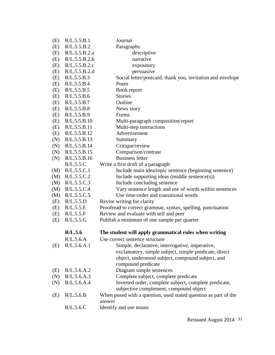| (E) | R/L.5.5.B.1   | Journal                                                                                                   |
|-----|---------------|-----------------------------------------------------------------------------------------------------------|
| (E) | R/L.5.5.B.2   | Paragraphs                                                                                                |
| (E) | R/L.5.5.B.2.a | descriptive                                                                                               |
| (E) | R/L.5.5.B.2.b | narrative                                                                                                 |
| (E) | R/L.5.5.B.2.c | expository                                                                                                |
| (E) | R/L.5.5.B.2.d | persuasive                                                                                                |
| (E) | R/L.5.5.B.3   | Social letter/postcard, thank you, invitation and envelope                                                |
| (E) | R/L.5.5.B.4   | Poem                                                                                                      |
| (E) | R/L.5.5.B.5   | Book report                                                                                               |
| (E) | R/L.5.5.B.6   | <b>Stories</b>                                                                                            |
| (E) | R/L.5.5.B.7   | Outline                                                                                                   |
| (E) | R/L.5.5.B.8   | News story                                                                                                |
| (E) | R/L.5.5.B.9   | Forms                                                                                                     |
| (E) | R/L.5.5.B.10  | Multi-paragraph composition/report                                                                        |
| (E) | R/L.5.5.B.11  | Multi-step instructions                                                                                   |
| (E) | R/L.5.5.B.12  | Advertisement                                                                                             |
| (N) | R/L.5.5.B.13  | Summary                                                                                                   |
| (N) | R/L.5.5.B.14  | Critique/review                                                                                           |
| (N) | R/L.5.5.B.15  | Comparison/contrast                                                                                       |
| (N) | R/L.5.5.B.16  | <b>Business letter</b>                                                                                    |
|     | R/L.5.5.C     | Write a first draft of a paragraph                                                                        |
| (M) | R/L.5.5.C.1   | Include main idea/topic sentence (beginning sentence)                                                     |
| (M) | R/L.5.5.C.2   | Include supporting ideas (middle sentence(s))                                                             |
| (M) | R/L.5.5.C.3   | Include concluding sentence                                                                               |
| (M) | R/L.5.5.C.4   | Vary sentence length and use of words within sentences                                                    |
| (M) | R/L.5.5.C.5   | Use time-order and transitional words                                                                     |
| (E) | R/L.5.5.D     | Revise writing for clarity                                                                                |
| (E) | R/L.5.5.E     | Proofread to correct grammar, syntax, spelling, punctuation                                               |
| (E) | R/L.5.5.F     | Review and evaluate with self and peer                                                                    |
| (E) | R/L.5.5.G     | Publish a minimum of one sample per quarter                                                               |
|     | R/L.5.6       | The student will apply grammatical rules when writing                                                     |
|     | R/L.5.6.A     | Use correct sentence structure                                                                            |
| (E) | R/L.5.6.A.1   | Simple, declarative, interrogative, imperative,                                                           |
|     |               | exclamatory, simple subject, simple predicate, direct                                                     |
|     |               | object, understood subject, compound subject, and                                                         |
|     |               | compound predicate                                                                                        |
| (E) | R/L.5.6.A.2   | Diagram simple sentences                                                                                  |
| (N) | R/L.5.6.A.3   | Complete subject, complete predicate                                                                      |
| (N) | R/L.5.6.A.4   | Inverted order, complete subject, complete predicate,                                                     |
| (E) | R/L.5.6.B     | subjective complement, compound object<br>When posed with a question, used stated question as part of the |
|     |               | answer                                                                                                    |
|     | R/L.5.6.C     | Identify and use nouns                                                                                    |
|     |               |                                                                                                           |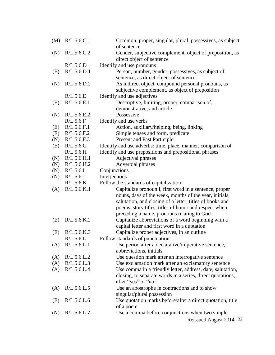| (M) | R/L.5.6.C.1 | Common, proper, singular, plural, possessives, as subject<br>of sentence                                                                                                                                                                                                            |
|-----|-------------|-------------------------------------------------------------------------------------------------------------------------------------------------------------------------------------------------------------------------------------------------------------------------------------|
| (N) | R/L.5.6.C.2 | Gender, subjective complement, object of preposition, as                                                                                                                                                                                                                            |
|     |             | direct object of sentence                                                                                                                                                                                                                                                           |
|     | R/L.5.6.D   | Identify and use pronouns                                                                                                                                                                                                                                                           |
| (E) | R/L.5.6.D.1 | Person, number, gender, possessives, as subject of                                                                                                                                                                                                                                  |
|     |             | sentence, as direct object of sentence                                                                                                                                                                                                                                              |
| (N) | R/L.5.6.D.2 | As indirect object, compound personal pronouns, as                                                                                                                                                                                                                                  |
|     |             | subjective complement, as object of preposition                                                                                                                                                                                                                                     |
|     | R/L.5.6.E   | Identify and use adjectives                                                                                                                                                                                                                                                         |
| (E) | R/L.5.6.E.1 | Descriptive, limiting, proper, comparison of,<br>demonstrative, and article                                                                                                                                                                                                         |
| (N) | R/L.5.6.E.2 | Possessive                                                                                                                                                                                                                                                                          |
|     | R/L.5.6.F   | Identify and use verbs                                                                                                                                                                                                                                                              |
| (E) | R/L.5.6.F.1 | Action, auxiliary/helping, being, linking                                                                                                                                                                                                                                           |
| (E) | R/L.5.6.F.2 | Simple tenses and form, predicate                                                                                                                                                                                                                                                   |
| (N) | R/L.5.6.F.3 | Present and Past Participle                                                                                                                                                                                                                                                         |
| (E) | R/L.5.6.G   | Identify and use adverbs: time, place, manner, comparison of                                                                                                                                                                                                                        |
|     | R/L.5.6.H   | Identify and use prepositions and prepositional phrases                                                                                                                                                                                                                             |
| (N) | R/L.5.6.H.1 | Adjectival phrases                                                                                                                                                                                                                                                                  |
| (N) | R/L.5.6.H.2 | Adverbial phrases                                                                                                                                                                                                                                                                   |
| (N) | R/L.5.6.1   | Conjunctions                                                                                                                                                                                                                                                                        |
| (N) | R/L.5.6J    | Interjections                                                                                                                                                                                                                                                                       |
|     | R/L.5.6.K   | Follow the standards of capitalization                                                                                                                                                                                                                                              |
| (A) | R/L.5.6.K.1 | Capitalize pronoun I, first word in a sentence, proper<br>nouns, days of the week, months of the year, initials,<br>salutation, and closing of a letter, titles of books and<br>poems, story titles, titles of honor and respect when<br>preceding a name, pronouns relating to God |
| (E) | R/L.5.6.K.2 | Capitalize abbreviations of a word beginning with a<br>capital letter and first word in a quotation                                                                                                                                                                                 |
| (E) | R/L.5.6.K.3 | Capitalize proper adjectives, in an outline                                                                                                                                                                                                                                         |
|     | R/L.5.6.L   | Follow standards of punctuation                                                                                                                                                                                                                                                     |
| (A) | R/L.5.6.L.1 | Use period after a declarative/imperative sentence,<br>abbreviations, initials                                                                                                                                                                                                      |
| (A) | R/L.5.6.L.2 | Use question mark after an interrogative sentence                                                                                                                                                                                                                                   |
| (A) | R/L.5.6.L.3 | Use exclamation mark after an exclamatory sentence                                                                                                                                                                                                                                  |
| (A) | R/L.5.6.L.4 | Use comma in a friendly letter, address, date, salutation,                                                                                                                                                                                                                          |
|     |             | closing, to separate words in a series, direct quotations,<br>after "yes" or "no"                                                                                                                                                                                                   |
| (A) | R/L.5.6.L.5 | Use an apostrophe in contractions and to show<br>singular/plural possession                                                                                                                                                                                                         |
| (E) | R/L.5.6.L.6 | Use quotation marks before/after a direct quotation, title<br>of a poem                                                                                                                                                                                                             |
| (N) | R/L.5.6.L.7 | Use a comma before conjunctions when two simple                                                                                                                                                                                                                                     |
|     |             | Reissued August 2014 32                                                                                                                                                                                                                                                             |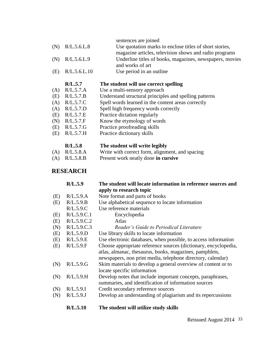| $\left( \begin{array}{c} \Lambda \end{array} \right)$ | R/L.5.7<br>$\mathbf{D}$ $\mathbf{T}$ $\mathbf{F}$ $\mathbf{T}$ $\mathbf{A}$ | The student will use correct spelling<br>$\mathbf{H}$ , $\mathbf{L}$ , and $\mathbf{L}$ , and a set of the set of $\mathbf{L}$ |
|-------------------------------------------------------|-----------------------------------------------------------------------------|--------------------------------------------------------------------------------------------------------------------------------|
| (E)                                                   | R/L.5.6.L.10                                                                | Use period in an outline                                                                                                       |
|                                                       |                                                                             | and works of art                                                                                                               |
|                                                       | $(N)$ R/L.5.6.L.9                                                           | Underline titles of books, magazines, newspapers, movies                                                                       |
|                                                       |                                                                             | magazine articles, television shows and radio programs                                                                         |
| (N)                                                   | R/L.5.6.L.8                                                                 | Use quotation marks to enclose titles of short stories,                                                                        |
|                                                       |                                                                             | sentences are joined                                                                                                           |

- (A) R/L.5.7.A Use a multi-sensory approach
- (E) R/L.5.7.B Understand structural principles and spelling patterns
- (A) R/L.5.7.C Spell words learned in the content areas correctly
- (A) R/L.5.7.D Spell high frequency words correctly
- (E) R/L.5.7.E Practice dictation regularly
- (N) R/L.5.7.F Know the etymology of words
- (E) R/L.5.7.G Practice proofreading skills
- (E) R/L.5.7.H Practice dictionary skills

| R/L.5.8         | The student will write legibly                  |
|-----------------|-------------------------------------------------|
| $(A)$ R/L.5.8.A | Write with correct form, alignment, and spacing |
| $(A)$ R/L.5.8.B | Present work neatly done in cursive             |

# **RESEARCH**

|     | R/L.5.9     | The student will locate information in reference sources and    |
|-----|-------------|-----------------------------------------------------------------|
|     |             | apply to research topic                                         |
| (E) | R/L.5.9.A   | Note format and parts of books                                  |
| (E) | R/L.5.9.B   | Use alphabetical sequence to locate information                 |
|     | R/L.5.9.C   | Use reference materials                                         |
| (E) | R/L.5.9.C.1 | Encyclopedia                                                    |
| (E) | R/L.5.9.C.2 | Atlas                                                           |
| (N) | R/L.5.9.C.3 | Reader's Guide to Periodical Literature                         |
| (E) | R/L.5.9.D   | Use library skills to locate information                        |
| (E) | R/L.5.9.E   | Use electronic databases, when possible, to access information  |
| (E) | R/L.5.9.F   | Choose appropriate reference sources (dictionary, encyclopedia, |
|     |             | atlas, almanac, thesaurus, books, magazines, pamphlets,         |
|     |             | newspapers, non print media, telephone directory, calendar)     |
| (N) | R/L.5.9.G   | Skim materials to develop a general overview of content or to   |
|     |             | locate specific information                                     |
| (N) | R/L.5.9.H   | Develop notes that include important concepts, paraphrases,     |
|     |             | summaries, and identification of information sources            |
| (N) | R/L.5.9.1   | Credit secondary reference sources                              |
| (N) | R/L.5.9J    | Develop an understanding of plagiarism and its repercussions    |
|     | R/L.5.10    | The student will utilize study skills                           |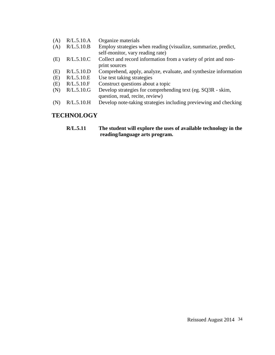- (A) R/L.5.10.A Organize materials
- (A) R/L.5.10.B Employ strategies when reading (visualize, summarize, predict, self-monitor, vary reading rate)
- (E) R/L.5.10.C Collect and record information from a variety of print and nonprint sources
- (E) R/L.5.10.D Comprehend, apply, analyze, evaluate, and synthesize information
- (E) R/L.5.10.E Use test taking strategies
- (E) R/L.5.10.F Construct questions about a topic
- (N) R/L.5.10.G Develop strategies for comprehending text (eg. SQ3R - skim, question, read, recite, review)
- (N) R/L.5.10.H Develop note-taking strategies including previewing and checking

# **TECHNOLOGY**

**R/L.5.11 The student will explore the uses of available technology in the reading/language arts program.**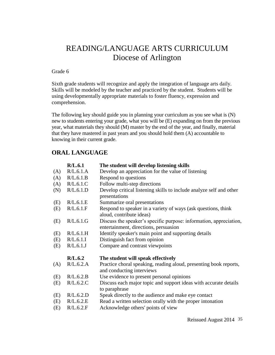# READING/LANGUAGE ARTS CURRICULUM Diocese of Arlington

#### Grade 6

Sixth grade students will recognize and apply the integration of language arts daily. Skills will be modeled by the teacher and practiced by the student. Students will be using developmentally appropriate materials to foster fluency, expression and comprehension.

The following key should guide you in planning your curriculum as you see what is (N) new to students entering your grade, what you will be (E) expanding on from the previous year, what materials they should (M) master by the end of the year, and finally, material that they have mastered in past years and you should hold them (A) accountable to knowing in their current grade.

## **ORAL LANGUAGE**

|     | R/L.6.1   | The student will develop listening skills                                                                   |
|-----|-----------|-------------------------------------------------------------------------------------------------------------|
| (A) | R/L.6.1.A | Develop an appreciation for the value of listening                                                          |
| (A) | R/L.6.1.B | Respond to questions                                                                                        |
| (A) | R/L.6.1.C | Follow multi-step directions                                                                                |
| (N) | R/L.6.1.D | Develop critical listening skills to include analyze self and other<br>presentations                        |
| (E) | R/L.6.1.E | Summarize oral presentations                                                                                |
| (E) | R/L.6.1.F | Respond to speaker in a variety of ways (ask questions, think<br>aloud, contribute ideas)                   |
| (E) | R/L.6.1.G | Discuss the speaker's specific purpose: information, appreciation,<br>entertainment, directions, persuasion |
| (E) | R/L.6.1.H | Identify speaker's main point and supporting details                                                        |
| (E) | R/L.6.1.I | Distinguish fact from opinion                                                                               |
| (E) | R/L.6.1.J | Compare and contrast viewpoints                                                                             |
|     | R/L.6.2   | The student will speak effectively                                                                          |
| (A) | R/L.6.2.A | Practice choral speaking, reading aloud, presenting book reports,<br>and conducting interviews              |
| (E) | R/L.6.2.B | Use evidence to present personal opinions                                                                   |
| (E) | R/L.6.2.C | Discuss each major topic and support ideas with accurate details<br>to paraphrase                           |
| (E) | R/L.6.2.D | Speak directly to the audience and make eye contact                                                         |
| (E) | R/L.6.2.E | Read a written selection orally with the proper intonation                                                  |
| (E) | R/L.6.2.F | Acknowledge others' points of view                                                                          |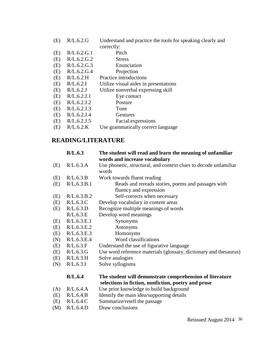|        | $(E)$ R/L.6.2.G | Understand and practice the tools for speaking clearly and |
|--------|-----------------|------------------------------------------------------------|
|        |                 | correctly:                                                 |
| $\sim$ | $P(T \times A)$ |                                                            |

- (E) R/L.6.2.G.1 Pitch
- (E) R/L.6.2.G.2 Stress
- (E) R/L.6.2.G.3 Enunciation
- (E) R/L.6.2.G.4 Projection
- (E) R/L.6.2.H Practice introductions
- (E) R/L.6.2.I Utilize visual aides in presentations
- (E) R/L.6.2.J Utilize nonverbal expressing skill
- (E) R/L.6.2.J.1 Eye contact
- (E) R/L.6.2.J.2 Posture
- (E) R/L.6.2.J.3 Tone
- (E) R/L.6.2.J.4 Gestures
- (E) R/L.6.2.J.5 Facial expressions
- (E) R/L.6.2.K Use grammatically correct language

# **READING/LITERATURE**

|     | R/L.6.3     | The student will read and learn the meaning of unfamiliar<br>words and increase vocabulary                      |
|-----|-------------|-----------------------------------------------------------------------------------------------------------------|
| (E) | R/L.6.3.A   | Use phonetic, structural, and context clues to decode unfamiliar<br>words                                       |
| (E) | R/L.6.3.B   | Work towards fluent reading                                                                                     |
| (E) | R/L.6.3.B.1 | Reads and rereads stories, poems and passages with                                                              |
|     |             | fluency and expression                                                                                          |
| (E) | R/L.6.3.B.2 | Self-corrects when necessary                                                                                    |
| (E) | R/L.6.3.C   | Develop vocabulary in content areas                                                                             |
| (E) | R/L.6.3.D   | Recognize multiple meanings of words                                                                            |
|     | R/L.6.3.E   | Develop word meanings                                                                                           |
| (E) | R/L.6.3.E.1 | Synonyms                                                                                                        |
| (E) | R/L.6.3.E.2 | Antonyms                                                                                                        |
| (E) | R/L.6.3.E.3 | Homonyms                                                                                                        |
| (N) | R/L.6.3.E.4 | Word classifications                                                                                            |
| (E) | R/L.6.3.F   | Understand the use of figurative language                                                                       |
| (E) | R/L.6.3.G   | Use word reference materials (glossary, dictionary and thesaurus)                                               |
| (E) | R/L.6.3.H   | Solve analogies                                                                                                 |
| (N) | R/L.6.3.I   | Solve syllogisms                                                                                                |
|     | R/L.6.4     | The student will demonstrate comprehension of literature<br>selections in fiction, nonfiction, poetry and prose |
| (A) | R/L.6.4.A   | Use prior knowledge to build background                                                                         |
| (E) | R/L.6.4.B   | Identify the main idea/supporting details                                                                       |
| (E) | R/L.6.4.C   | Summarize/retell the passage                                                                                    |
|     |             |                                                                                                                 |

(M) R/L.6.4.D Draw conclusions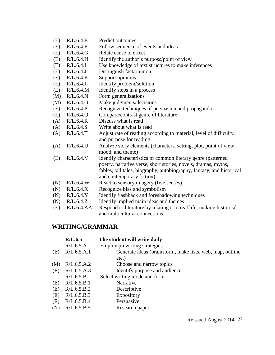- (E) R/L.6.4.E Predict outcomes
- (E) R/L.6.4.F Follow sequence of events and ideas
- (E) R/L.6.4.G Relate cause to effect
- (E) R/L.6.4.H Identify the author's purpose/point of view
- (E) R/L.6.4.I Use knowledge of text structures to make inferences
- (E) R/L.6.4.J Distinguish fact/opinion
- (E) R/L.6.4.K Support opinions
- (E) R/L.6.4.L Identify problem/solution
- (E) R/L.6.4.M Identify steps in a process
- (M) R/L.6.4.N Form generalizations
- (M) R/L.6.4.O Make judgments/decisions
- (E) R/L.6.4.P Recognize techniques of persuasion and propaganda
- (E) R/L.6.4.Q Compare/contrast genre of literature
- (A) R/L.6.4.R Discuss what is read
- $(A)$ R/L.6.4.S Write about what is read
- (A) R/L.6.4.T Adjust rate of reading according to material, level of difficulty, and purpose for reading
- (A) R/L.6.4.U Analyze story elements (characters, setting, plot, point of view, mood, and theme)
- (E) R/L.6.4.V Identify characteristics of common literary genre (patterned poetry, narrative verse, short stories, novels, dramas, myths, fables, tall tales, biography, autobiography, fantasy, and historical and contemporary fiction)
- (N) R/L.6.4.W React to sensory imagery (five senses)
- (N) R/L.6.4.X Recognize bias and symbolism
- (N) R/L.6.4.Y Identify flashback and foreshadowing techniques
- (N) R/L.6.4.Z Identify implied main ideas and themes
- (E) R/L.6.4.AA Respond to literature by relating it to real life, making historical and multicultural connections

#### **WRITING/GRAMMAR**

|     | R/L.6.5     | The student will write daily                              |
|-----|-------------|-----------------------------------------------------------|
|     | R/L.6.5.A   | Employ prewriting strategies                              |
| (E) | R/L.6.5.A.1 | Generate ideas (brainstorm, make lists, web, map, outline |
|     |             | $etc.$ )                                                  |
| (M) | R/L.6.5.A.2 | Choose and narrow topics                                  |
| (E) | R/L.6.5.A.3 | Identify purpose and audience                             |
|     | R/L.6.5.B   | Select writing mode and form                              |
| (E) | R/L.6.5.B.1 | Narrative                                                 |
| (E) | R/L.6.5.B.2 | Descriptive                                               |
| (E) | R/L.6.5.B.3 | <b>Expository</b>                                         |
| (E) | R/L.6.5.B.4 | Persuasive                                                |
| (N) | R/L.6.5.B.5 | Research paper                                            |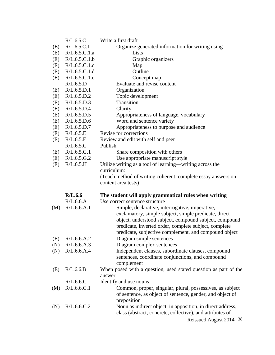|     | R/L.6.5.C         | Write a first draft                                             |
|-----|-------------------|-----------------------------------------------------------------|
| (E) | R/L.6.5.C.1       | Organize generated information for writing using                |
| (E) | R/L.6.5.C.1.a     | Lists                                                           |
| (E) | R/L.6.5.C.1.b     | Graphic organizers                                              |
| (E) | R/L.6.5.C.1.c     | Map                                                             |
| (E) | R/L.6.5.C.1.d     | Outline                                                         |
| (E) | R/L.6.5.C.1.e     | Concept map                                                     |
|     | R/L.6.5.D         | Evaluate and revise content                                     |
| (E) | R/L.6.5.D.1       | Organization                                                    |
| (E) | R/L.6.5.D.2       | Topic development                                               |
| (E) | R/L.6.5.D.3       | Transition                                                      |
| (E) | R/L.6.5.D.4       | Clarity                                                         |
| (E) | R/L.6.5.D.5       | Appropriateness of language, vocabulary                         |
| (E) | R/L.6.5.D.6       | Word and sentence variety                                       |
| (E) | R/L.6.5.D.7       | Appropriateness to purpose and audience                         |
| (E) | R/L.6.5.E         | Revise for corrections                                          |
| (E) | R/L.6.5.F         | Review and edit with self and peer                              |
|     | R/L.6.5.G         | Publish                                                         |
| (E) | R/L.6.5.G.1       | Share composition with others                                   |
| (E) | R/L.6.5.G.2       | Use appropriate manuscript style                                |
| (E) | R/L.6.5.H         | Utilize writing as a tool of learning—writing across the        |
|     |                   | curriculum:                                                     |
|     |                   | (Teach method of writing coherent, complete essay answers on    |
|     |                   | content area tests)                                             |
|     | R/L.6.6           | The student will apply grammatical rules when writing           |
|     | R/L.6.6.A         | Use correct sentence structure                                  |
| (M) | R/L.6.6.A.1       | Simple, declarative, interrogative, imperative,                 |
|     |                   | exclamatory, simple subject, simple predicate, direct           |
|     |                   | object, understood subject, compound subject, compound          |
|     |                   | predicate, inverted order, complete subject, complete           |
|     |                   | predicate, subjective complement, and compound object           |
|     | $(E)$ R/L.6.6.A.2 | Diagram simple sentences                                        |
| (N) | R/L.6.6.A.3       | Diagram complex sentences                                       |
| (N) | R/L.6.6.A.4       | Independent clauses, subordinate clauses, compound              |
|     |                   | sentences, coordinate conjunctions, and compound                |
|     |                   | complement                                                      |
| (E) | R/L.6.6.B         | When posed with a question, used stated question as part of the |
|     |                   | answer                                                          |
|     | R/L.6.6.C         | Identify and use nouns                                          |
| (M) | R/L.6.6.C.1       | Common, proper, singular, plural, possessives, as subject       |
|     |                   | of sentence, as object of sentence, gender, and object of       |
|     |                   | preposition                                                     |
| (N) | R/L.6.6.C.2       | Noun as indirect object, in apposition, in direct address,      |
|     |                   | class (abstract, concrete, collective), and attributes of       |
|     |                   | Reissued August 2014 38                                         |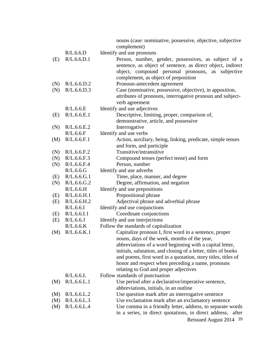|     |                            | nouns (case: nominative, possessive, objective, subjective           |
|-----|----------------------------|----------------------------------------------------------------------|
|     | R/L.6.6.D                  | complement)                                                          |
|     | R/L.6.6.D.1                | Identify and use pronouns                                            |
| (E) |                            | Person, number, gender, possessives, as subject of a                 |
|     |                            | sentence, as object of sentence, as direct object, indirect          |
|     |                            | object, compound personal pronouns, as<br>subjective                 |
|     | R/L.6.6.D.2                | complement, as object of preposition                                 |
| (N) |                            | Pronoun-antecedent agreement                                         |
| (N) | R/L.6.6.D.3                | Case (nominative, possessive, objective), in apposition,             |
|     |                            | attributes of pronouns, interrogative pronoun and subject-           |
|     | R/L.6.6.E                  | verb agreement                                                       |
|     |                            | Identify and use adjectives                                          |
| (E) | R/L.6.6.E.1                | Descriptive, limiting, proper, comparison of,                        |
|     |                            | demonstrative, article, and possessive                               |
| (N) | R/L.6.6.E.2                | Interrogative                                                        |
|     | R/L.6.6.F                  | Identify and use verbs                                               |
| (M) | R/L.6.6.F.1                | Action, auxiliary, being, linking, predicate, simple tenses          |
|     |                            | and form, and participle<br>Transitive/intransitive                  |
| (N) | R/L.6.6.F.2<br>R/L.6.6.F.3 |                                                                      |
| (N) | R/L.6.6.F.4                | Compound tenses (perfect tense) and form                             |
| (N) | R/L.6.6.G                  | Person, number                                                       |
|     | R/L.6.6.G.1                | Identify and use adverbs                                             |
| (E) | R/L.6.6.G.2                | Time, place, manner, and degree<br>Degree, affirmation, and negation |
| (N) | R/L.6.6.H                  | Identify and use prepositions                                        |
| (E) | R/L.6.6.H.1                | Prepositional phrase                                                 |
| (E) | R/L.6.6.H.2                | Adjectival phrase and adverbial phrase                               |
|     | R/L.6.6.1                  | Identify and use conjunctions                                        |
| (E) | R/L.6.6.1.1                | Coordinate conjunctions                                              |
| (E) | R/L.6.6J                   | Identify and use interjections                                       |
|     | R/L.6.6.K                  | Follow the standards of capitalization                               |
| (M) | R/L.6.6.K.1                | Capitalize pronoun I, first word in a sentence, proper               |
|     |                            | nouns, days of the week, months of the year,                         |
|     |                            | abbreviations of a word beginning with a capital letter,             |
|     |                            | initials, salutation, and closing of a letter, titles of books       |
|     |                            | and poems, first word in a quotation, story titles, titles of        |
|     |                            | honor and respect when preceding a name, pronouns                    |
|     |                            | relating to God and proper adjectives                                |
|     | R/L.6.6.L                  | Follow standards of punctuation                                      |
| (M) | R/L.6.6.L.1                | Use period after a declarative/imperative sentence,                  |
|     |                            | abbreviations, initials, in an outline                               |
| (M) | R/L.6.6.L.2                | Use question mark after an interrogative sentence                    |
| (M) | R/L.6.6.L.3                | Use exclamation mark after an exclamatory sentence                   |
| (M) | R/L.6.6.L.4                | Use comma in a friendly letter, address, to separate words           |
|     |                            | in a series, in direct quotations, in direct address, after          |
|     |                            |                                                                      |
|     |                            | Reissued August 2014 39                                              |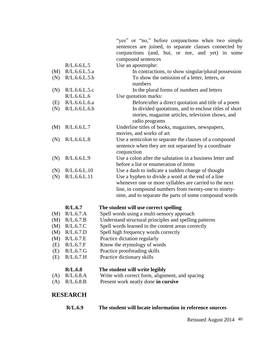"yes" or "no," before conjunctions when two simple sentences are joined, to separate clauses connected by conjunctions (and, but, or nor, and yet) in some compound sentences

|     | R/L.6.6.L.5   | Use an apostrophe:                                        |
|-----|---------------|-----------------------------------------------------------|
| (M) | R/L.6.6.L.5.a | In contractions, to show singular/plural possession       |
| (N) | R/L.6.6.L.5.b | To show the omission of a letter, letters, or             |
|     |               | numbers                                                   |
| (N) | R/L.6.6.L.5.c | In the plural forms of numbers and letters                |
|     | R/L.6.6.L.6   | Use quotation marks:                                      |
| (E) | R/L.6.6.L.6.a | Before/after a direct quotation and title of a poem       |
| (N) | R/L.6.6.L.6.b | In divided quotations, and to enclose titles of short     |
|     |               | stories, magazine articles, television shows, and         |
|     |               | radio programs                                            |
| (M) | R/L.6.6.L.7   | Underline titles of books, magazines, newspapers,         |
|     |               | movies, and works of art                                  |
| (N) | R/L.6.6.L.8   | Use a semicolon to separate the clauses of a compound     |
|     |               | sentence when they are not separated by a coordinate      |
|     |               | conjunction                                               |
| (N) | R/L.6.6.L.9   | Use a colon after the salutation in a business letter and |
|     |               | before a list or enumeration of items                     |
| (N) | R/L.6.6.L.10  | Use a dash to indicate a sudden change of thought         |
| (N) | R/L.6.6.L.11  | Use a hyphen to divide a word at the end of a line        |
|     |               | whenever one or more syllables are carried to the next    |
|     |               | line, in compound numbers from twenty-one to ninety-      |
|     |               | nine, and to separate the parts of some compound words    |

#### **R/L.6.7 The student will use correct spelling**

- (M) R/L.6.7.A Spell words using a multi-sensory approach
- (M) R/L.6.7.B Understand structural principles and spelling patterns
- (M) R/L.6.7.C Spell words learned in the content areas correctly
- (M) R/L.6.7.D Spell high frequency words correctly
- (M) R/L.6.7.E Practice dictation regularly
- (E) R/L.6.7.F Know the etymology of words
- (E) R/L.6.7.G Practice proofreading skills
- (E) R/L.6.7.H Practice dictionary skills

#### **R/L.6.8 The student will write legibly**

- (A) R/L.6.8.A Write with correct form, alignment, and spacing
- (A) R/L.6.8.B Present work neatly done **in cursive**

### **RESEARCH**

| R/L.6.9 | The student will locate information in reference sources |
|---------|----------------------------------------------------------|
|         |                                                          |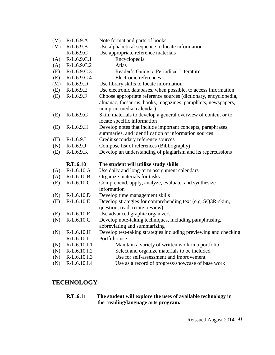| (M) | R/L.6.9.A    | Note format and parts of books                                                                                                                                |
|-----|--------------|---------------------------------------------------------------------------------------------------------------------------------------------------------------|
| (M) | R/L.6.9.B    | Use alphabetical sequence to locate information                                                                                                               |
|     | R/L.6.9.C    | Use appropriate reference materials                                                                                                                           |
| (A) | R/L.6.9.C.1  | Encyclopedia                                                                                                                                                  |
| (A) | R/L.6.9.C.2  | Atlas                                                                                                                                                         |
| (E) | R/L.6.9.C.3  | Reader's Guide to Periodical Literature                                                                                                                       |
| (E) | R/L.6.9.C.4  | Electronic references                                                                                                                                         |
| (M) | R/L.6.9.D    | Use library skills to locate information                                                                                                                      |
| (E) | R/L.6.9.E    | Use electronic databases, when possible, to access information                                                                                                |
| (E) | R/L.6.9.F    | Choose appropriate reference sources (dictionary, encyclopedia,<br>almanac, thesaurus, books, magazines, pamphlets, newspapers,<br>non print media, calendar) |
| (E) | R/L.6.9.G    | Skim materials to develop a general overview of content or to<br>locate specific information                                                                  |
| (E) | R/L.6.9.H    | Develop notes that include important concepts, paraphrases,<br>summaries, and identification of information sources                                           |
| (E) | R/L.6.9.I    | Credit secondary reference sources                                                                                                                            |
| (N) | R/L.6.9J     | Compose list of references (Bibliography)                                                                                                                     |
| (E) | R/L.6.9.K    | Develop an understanding of plagiarism and its repercussions                                                                                                  |
|     | R/L.6.10     | The student will utilize study skills                                                                                                                         |
| (A) | R/L.6.10.A   | Use daily and long-term assignment calendars                                                                                                                  |
| (A) | R/L.6.10.B   | Organize materials for tasks                                                                                                                                  |
| (E) | R/L.6.10.C   | Comprehend, apply, analyze, evaluate, and synthesize<br>information                                                                                           |
| (N) | R/L.6.10.D   | Develop time management skills                                                                                                                                |
| (E) | R/L.6.10.E   | Develop strategies for comprehending text (e.g. SQ3R-skim,<br>question, read, recite, review)                                                                 |
| (E) | R/L.6.10.F   | Use advanced graphic organizers                                                                                                                               |
| (N) | R/L.6.10.G   | Develop note-taking techniques, including paraphrasing,<br>abbreviating and summarizing                                                                       |
| (N) | R/L.6.10.H   | Develop test-taking strategies including previewing and checking                                                                                              |
|     | R/L.6.10.I   | Portfolio use                                                                                                                                                 |
| (N) | R/L.6.10.I.1 | Maintain a variety of written work in a portfolio                                                                                                             |
| (N) | R/L.6.10.I.2 | Select and organize materials to be included                                                                                                                  |
| (N) | R/L.6.10.I.3 | Use for self-assessment and improvement                                                                                                                       |
| (N) | R/L.6.10.I.4 | Use as a record of progress/showcase of base work                                                                                                             |

# **TECHNOLOGY**

#### **R/L.6.11 The student will explore the uses of available technology in the reading/language arts program.**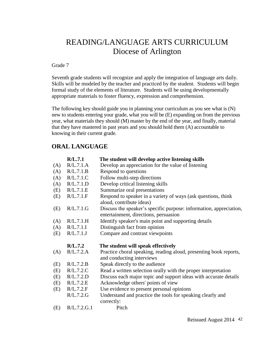# READING/LANGUAGE ARTS CURRICULUM Diocese of Arlington

#### Grade 7

Seventh grade students will recognize and apply the integration of language arts daily. Skills will be modeled by the teacher and practiced by the student. Students will begin formal study of the elements of literature. Students will be using developmentally appropriate materials to foster fluency, expression and comprehension.

The following key should guide you in planning your curriculum as you see what is (N) new to students entering your grade, what you will be (E) expanding on from the previous year, what materials they should (M) master by the end of the year, and finally, material that they have mastered in past years and you should hold them (A) accountable to knowing in their current grade.

# **ORAL LANGUAGE**

|     | R/L.7.1     | The student will develop active listening skills                                                            |
|-----|-------------|-------------------------------------------------------------------------------------------------------------|
| (A) | R/L.7.1.A   | Develop an appreciation for the value of listening                                                          |
| (A) | R/L.7.1.B   | Respond to questions                                                                                        |
| (A) | R/L.7.1.C   | Follow multi-step directions                                                                                |
| (A) | R/L.7.1.D   | Develop critical listening skills                                                                           |
| (E) | R/L.7.1.E   | Summarize oral presentations                                                                                |
| (E) | R/L.7.1.F   | Respond to speaker in a variety of ways (ask questions, think<br>aloud, contribute ideas)                   |
| (E) | R/L.7.1.G   | Discuss the speaker's specific purpose: information, appreciation,<br>entertainment, directions, persuasion |
| (A) | R/L.7.1.H   | Identify speaker's main point and supporting details                                                        |
| (A) | R/L.7.1.I   | Distinguish fact from opinion                                                                               |
| (E) | R/L.7.1.J   | Compare and contrast viewpoints                                                                             |
|     | R/L.7.2     | The student will speak effectively                                                                          |
| (A) | R/L.7.2.A   | Practice choral speaking, reading aloud, presenting book reports,<br>and conducting interviews              |
| (E) | R/L.7.2.B   | Speak directly to the audience                                                                              |
| (E) | R/L.7.2.C   | Read a written selection orally with the proper interpretation                                              |
| (E) | R/L.7.2.D   | Discuss each major topic and support ideas with accurate details                                            |
| (E) | R/L.7.2.E   | Acknowledge others' points of view                                                                          |
| (E) | R/L.7.2.F   | Use evidence to present personal opinions                                                                   |
|     | R/L.7.2.G   | Understand and practice the tools for speaking clearly and<br>correctly:                                    |
| (E) | R/L.7.2.G.1 | Pitch                                                                                                       |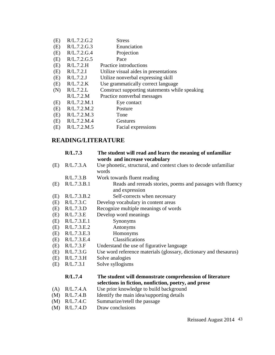- (E) R/L.7.2.G.2 Stress
- (E) R/L.7.2.G.3 Enunciation
- (E) R/L.7.2.G.4 Projection
- (E) R/L.7.2.G.5 Pace
- (E) R/L.7.2.H Practice introductions
- (E) R/L.7.2.I Utilize visual aides in presentations
- (E) R/L.7.2.J Utilize nonverbal expressing skill
- (E) R/L.7.2.K Use grammatically correct language
- (N) R/L.7.2.L Construct supporting statements while speaking
- R/L.7.2.M Practice nonverbal messages
- (E) R/L.7.2.M.1 Eye contact
- (E) R/L.7.2.M.2 Posture
- (E) R/L.7.2.M.3 Tone
- (E) R/L.7.2.M.4 Gestures
- (E) R/L.7.2.M.5 Facial expressions

# **READING/LITERATURE**

|     | R/L.7.3     | The student will read and learn the meaning of unfamiliar<br>words and increase vocabulary                       |
|-----|-------------|------------------------------------------------------------------------------------------------------------------|
| (E) | R/L.7.3.A   | Use phonetic, structural, and context clues to decode unfamiliar<br>words                                        |
|     | R/L.7.3.B   | Work towards fluent reading                                                                                      |
| (E) | R/L.7.3.B.1 | Reads and rereads stories, poems and passages with fluency<br>and expression                                     |
| (E) | R/L.7.3.B.2 | Self-corrects when necessary                                                                                     |
| (E) | R/L.7.3.C   | Develop vocabulary in content areas                                                                              |
| (E) | R/L.7.3.D   | Recognize multiple meanings of words                                                                             |
| (E) | R/L.7.3.E   | Develop word meanings                                                                                            |
| (E) | R/L.7.3.E.1 | Synonyms                                                                                                         |
| (E) | R/L.7.3.E.2 | Antonyms                                                                                                         |
| (E) | R/L.7.3.E.3 | Homonyms                                                                                                         |
| (E) | R/L.7.3.E.4 | Classifications                                                                                                  |
| (E) | R/L.7.3.F   | Understand the use of figurative language                                                                        |
| (E) | R/L.7.3.G   | Use word reference materials (glossary, dictionary and thesaurus)                                                |
| (E) | R/L.7.3.H   | Solve analogies                                                                                                  |
| (E) | R/L.7.3.I   | Solve syllogisms                                                                                                 |
|     | R/L.7.4     | The student will demonstrate comprehension of literature<br>selections in fiction, nonfiction, poetry, and prose |
| (A) | R/L.7.4.A   | Use prior knowledge to build background                                                                          |
| (M) | R/L.7.4.B   | Identify the main idea/supporting details                                                                        |
| (M) | R/L.7.4.C   | Summarize/retell the passage                                                                                     |
|     |             |                                                                                                                  |

(M) R/L.7.4.D Draw conclusions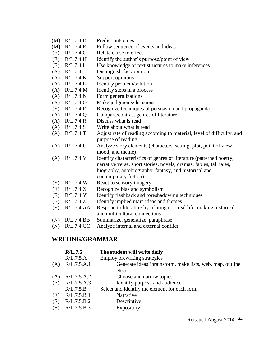- (M) R/L.7.4.E Predict outcomes
- (M) R/L.7.4.F Follow sequence of events and ideas
- (E) R/L.7.4.G Relate cause to effect
- (E) R/L.7.4.H Identify the author's purpose/point of view
- (E) R/L.7.4.I Use knowledge of text structures to make inferences
- (A) R/L.7.4.J Distinguish fact/opinion
- (A) R/L.7.4.K Support opinions
- (A) R/L.7.4.L Identify problem/solution
- (A) R/L.7.4.M Identify steps in a process
- (A) R/L.7.4.N Form generalizations
- (A) R/L.7.4.O Make judgments/decisions
- (E) R/L.7.4.P Recognize techniques of persuasion and propaganda
- (A) R/L.7.4.Q Compare/contrast genres of literature
- (A) R/L.7.4.R Discuss what is read
- (A) R/L.7.4.S Write about what is read
- (A) R/L.7.4.T Adjust rate of reading according to material, level of difficulty, and purpose of reading
- (A) R/L.7.4.U Analyze story elements (characters, setting, plot, point of view, mood, and theme)
- (A) R/L.7.4.V Identify characteristics of genres of literature (patterned poetry, narrative verse, short stories, novels, dramas, fables, tall tales, biography, autobiography, fantasy, and historical and
- contemporary fiction)
- (E) R/L.7.4.W React to sensory imagery
- (E) R/L.7.4.X Recognize bias and symbolism
- (E) R/L.7.4.Y Identify flashback and foreshadowing techniques
- (E) R/L.7.4.Z Identify implied main ideas and themes
- (E) R/L.7.4.AA Respond to literature by relating it to real life, making historical and multicultural connections
- (N) R/L.7.4.BB Summarize, generalize, paraphrase
- (N) R/L.7.4.CC Analyze internal and external conflict

#### **WRITING/GRAMMAR**

|     | R/L.7.5     | The student will write daily                              |
|-----|-------------|-----------------------------------------------------------|
|     | R/L.7.5.A   | Employ prewriting strategies                              |
| (A) | R/L.7.5.A.1 | Generate ideas (brainstorm, make lists, web, map, outline |
|     |             | $etc.$ )                                                  |
| (A) | R/L.7.5.A.2 | Choose and narrow topics                                  |
| (E) | R/L.7.5.A.3 | Identify purpose and audience                             |
|     | R/L.7.5.B   | Select and identify the element for each form             |
| (E) | R/L.7.5.B.1 | Narrative                                                 |
| (E) | R/L.7.5.B.2 | Descriptive                                               |
| (E) | R/L.7.5.B.3 | Expository                                                |
|     |             |                                                           |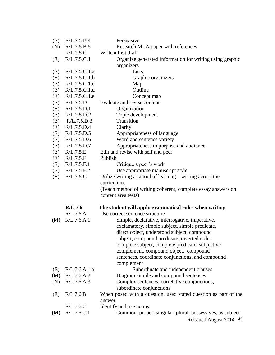| (E) | R/L.7.5.B.4   | Persuasive                                                      |
|-----|---------------|-----------------------------------------------------------------|
| (N) | R/L.7.5.B.5   | Research MLA paper with references                              |
|     | R/L.7.5.C     | Write a first draft                                             |
| (E) | R/L.7.5.C.1   | Organize generated information for writing using graphic        |
|     |               | organizers                                                      |
| (E) | R/L.7.5.C.1.a | Lists                                                           |
| (E) | R/L.7.5.C.1.b | Graphic organizers                                              |
| (E) | R/L.7.5.C.1.c | Map                                                             |
| (E) | R/L.7.5.C.1.d | Outline                                                         |
| (E) | R/L.7.5.C.1.e | Concept map                                                     |
| (E) | R/L.7.5.D     | Evaluate and revise content                                     |
| (E) | R/L.7.5.D.1   | Organization                                                    |
| (E) | R/L.7.5.D.2   | Topic development                                               |
| (E) | R/L.7.5.D.3   | Transition                                                      |
| (E) | R/L.7.5.D.4   | Clarity                                                         |
| (E) | R/L.7.5.D.5   | Appropriateness of language                                     |
| (E) | R/L.7.5.D.6   | Word and sentence variety                                       |
| (E) | R/L.7.5.D.7   | Appropriateness to purpose and audience                         |
| (E) | R/L.7.5.E     | Edit and revise with self and peer                              |
| (E) | R/L.7.5.F     | Publish                                                         |
| (E) | R/L.7.5.F.1   | Critique a peer's work                                          |
| (E) | R/L.7.5.F.2   | Use appropriate manuscript style                                |
| (E) | R/L.7.5.G     | Utilize writing as a tool of learning $-$ writing across the    |
|     |               | curriculum:                                                     |
|     |               | (Teach method of writing coherent, complete essay answers on    |
|     |               | content area tests)                                             |
|     | R/L.7.6       | The student will apply grammatical rules when writing           |
|     | R/L.7.6.A     | Use correct sentence structure                                  |
| (M) | R/L.7.6.A.1   | Simple, declarative, interrogative, imperative,                 |
|     |               | exclamatory, simple subject, simple predicate,                  |
|     |               | direct object, understood subject, compound                     |
|     |               | subject, compound predicate, inverted order,                    |
|     |               | complete subject, complete predicate, subjective                |
|     |               | complement, compound object, compound                           |
|     |               | sentences, coordinate conjunctions, and compound                |
|     |               | complement                                                      |
| (E) | R/L.7.6.A.1.a | Subordinate and independent clauses                             |
| (M) | R/L.7.6.A.2   | Diagram simple and compound sentences                           |
| (N) | R/L.7.6.A.3   | Complex sentences, correlative conjunctions,                    |
|     |               | subordinate conjunctions                                        |
| (E) | R/L.7.6.B     | When posed with a question, used stated question as part of the |
|     |               | answer                                                          |
|     | R/L.7.6.C     | Identify and use nouns                                          |
| (M) | R/L.7.6.C.1   | Common, proper, singular, plural, possessives, as subject       |
|     |               | Reissued August 2014 45                                         |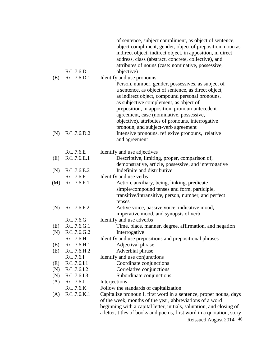|     | R/L.7.6.D             | of sentence, subject compliment, as object of sentence,<br>object compliment, gender, object of preposition, noun as<br>indirect object, indirect object, in apposition, in direct<br>address, class (abstract, concrete, collective), and<br>attributes of nouns (case: nominative, possessive,<br>objective) |
|-----|-----------------------|----------------------------------------------------------------------------------------------------------------------------------------------------------------------------------------------------------------------------------------------------------------------------------------------------------------|
| (E) | R/L.7.6.D.1           | Identify and use pronouns                                                                                                                                                                                                                                                                                      |
|     |                       | Person, number, gender, possessives, as subject of                                                                                                                                                                                                                                                             |
|     |                       | a sentence, as object of sentence, as direct object,                                                                                                                                                                                                                                                           |
|     |                       | as indirect object, compound personal pronouns,                                                                                                                                                                                                                                                                |
|     |                       | as subjective complement, as object of                                                                                                                                                                                                                                                                         |
|     |                       | preposition, in apposition, pronoun-antecedent                                                                                                                                                                                                                                                                 |
|     |                       | agreement, case (nominative, possessive,                                                                                                                                                                                                                                                                       |
|     |                       | objective), attributes of pronouns, interrogative                                                                                                                                                                                                                                                              |
|     |                       | pronoun, and subject-verb agreement                                                                                                                                                                                                                                                                            |
| (N) | R/L.7.6.D.2           | Intensive pronouns, reflexive pronouns, relative                                                                                                                                                                                                                                                               |
|     |                       | and agreement                                                                                                                                                                                                                                                                                                  |
|     | R/L.7.6.E             | Identify and use adjectives                                                                                                                                                                                                                                                                                    |
| (E) | R/L.7.6.E.1           | Descriptive, limiting, proper, comparison of,                                                                                                                                                                                                                                                                  |
|     |                       | demonstrative, article, possessive, and interrogative                                                                                                                                                                                                                                                          |
| (N) | R/L.7.6.E.2           | Indefinite and distributive                                                                                                                                                                                                                                                                                    |
|     | R/L.7.6.F             | Identify and use verbs                                                                                                                                                                                                                                                                                         |
| (M) | R/L.7.6.F.1           | Action, auxiliary, being, linking, predicate                                                                                                                                                                                                                                                                   |
|     |                       | simple/compound tenses and form, participle,                                                                                                                                                                                                                                                                   |
|     |                       | transitive/intransitive, person, number, and perfect                                                                                                                                                                                                                                                           |
|     |                       | tenses                                                                                                                                                                                                                                                                                                         |
| (N) | R/L.7.6.F.2           | Active voice, passive voice, indicative mood,                                                                                                                                                                                                                                                                  |
|     |                       | imperative mood, and synopsis of verb                                                                                                                                                                                                                                                                          |
|     | R/L.7.6.G             | Identify and use adverbs                                                                                                                                                                                                                                                                                       |
| (E) | R/L.7.6.G.1           | Time, place, manner, degree, affirmation, and negation                                                                                                                                                                                                                                                         |
| (N) | R/L.7.6.G.2           | Interrogative                                                                                                                                                                                                                                                                                                  |
|     | R/L.7.6.H             | Identify and use prepositions and prepositional phrases                                                                                                                                                                                                                                                        |
| (E) | R/L.7.6.H.1           | Adjectival phrase                                                                                                                                                                                                                                                                                              |
| (E) | R/L.7.6.H.2           | Adverbial phrase                                                                                                                                                                                                                                                                                               |
|     | R/L.7.6.1             | Identify and use conjunctions                                                                                                                                                                                                                                                                                  |
| (E) | R/L.7.6.I.1           | Coordinate conjunctions                                                                                                                                                                                                                                                                                        |
| (N) | R/L.7.6.I.2           | Correlative conjunctions                                                                                                                                                                                                                                                                                       |
| (N) | R/L.7.6.I.3           | Subordinate conjunctions                                                                                                                                                                                                                                                                                       |
| (A) | R/L.7.6J<br>R/L.7.6.K | Interjections<br>Follow the standards of capitalization                                                                                                                                                                                                                                                        |
| (A) | R/L.7.6.K.1           | Capitalize pronoun I, first word in a sentence, proper nouns, days                                                                                                                                                                                                                                             |
|     |                       | of the week, months of the year, abbreviations of a word                                                                                                                                                                                                                                                       |
|     |                       | beginning with a capital letter, initials, salutation, and closing of                                                                                                                                                                                                                                          |
|     |                       | a letter, titles of books and poems, first word in a quotation, story                                                                                                                                                                                                                                          |
|     |                       | Reissued August 2014 46                                                                                                                                                                                                                                                                                        |
|     |                       |                                                                                                                                                                                                                                                                                                                |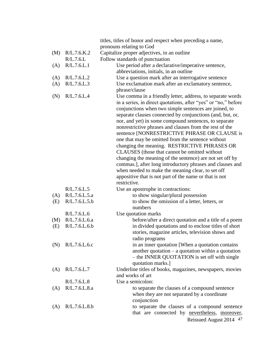|     |               | titles, titles of honor and respect when preceding a name,                                                                                                                                                                                                                                                                                                                                                                                                                                                                                                                                                                                                                                                                                                                                                                           |
|-----|---------------|--------------------------------------------------------------------------------------------------------------------------------------------------------------------------------------------------------------------------------------------------------------------------------------------------------------------------------------------------------------------------------------------------------------------------------------------------------------------------------------------------------------------------------------------------------------------------------------------------------------------------------------------------------------------------------------------------------------------------------------------------------------------------------------------------------------------------------------|
|     |               | pronouns relating to God                                                                                                                                                                                                                                                                                                                                                                                                                                                                                                                                                                                                                                                                                                                                                                                                             |
| (M) | R/L.7.6.K.2   | Capitalize proper adjectives, in an outline                                                                                                                                                                                                                                                                                                                                                                                                                                                                                                                                                                                                                                                                                                                                                                                          |
|     | R/L.7.6.L     | Follow standards of punctuation                                                                                                                                                                                                                                                                                                                                                                                                                                                                                                                                                                                                                                                                                                                                                                                                      |
| (A) | R/L.7.6.L.1   | Use period after a declarative/imperative sentence,                                                                                                                                                                                                                                                                                                                                                                                                                                                                                                                                                                                                                                                                                                                                                                                  |
|     |               | abbreviations, initials, in an outline                                                                                                                                                                                                                                                                                                                                                                                                                                                                                                                                                                                                                                                                                                                                                                                               |
| (A) | R/L.7.6.L.2   | Use a question mark after an interrogative sentence                                                                                                                                                                                                                                                                                                                                                                                                                                                                                                                                                                                                                                                                                                                                                                                  |
| (A) | R/L.7.6.L.3   | Use exclamation mark after an exclamatory sentence,                                                                                                                                                                                                                                                                                                                                                                                                                                                                                                                                                                                                                                                                                                                                                                                  |
|     |               | phrase/clause                                                                                                                                                                                                                                                                                                                                                                                                                                                                                                                                                                                                                                                                                                                                                                                                                        |
| (N) | R/L.7.6.L.4   | Use comma in a friendly letter, address, to separate words<br>in a series, in direct quotations, after "yes" or "no," before<br>conjunctions when two simple sentences are joined, to<br>separate clauses connected by conjunctions (and, but, or,<br>nor, and yet) in some compound sentences, to separate<br>nonrestrictive phrases and clauses from the rest of the<br>sentence [NONRESTRICTIVE PHRASE OR CLAUSE is<br>one that may be omitted from the sentence without<br>changing the meaning. RESTRICTIVE PHRASES OR<br>CLAUSES (those that cannot be omitted without<br>changing the meaning of the sentence) are not set off by<br>commas.], after long introductory phrases and clauses and<br>when needed to make the meaning clear, to set off<br>appositive that is not part of the name or that is not<br>restrictive. |
|     | R/L.7.6.L.5   | Use an apostrophe in contractions:                                                                                                                                                                                                                                                                                                                                                                                                                                                                                                                                                                                                                                                                                                                                                                                                   |
| (A) | R/L.7.6.L.5.a | to show singular/plural possession                                                                                                                                                                                                                                                                                                                                                                                                                                                                                                                                                                                                                                                                                                                                                                                                   |
| (E) | R/L.7.6.L.5.b | to show the omission of a letter, letters, or<br>numbers                                                                                                                                                                                                                                                                                                                                                                                                                                                                                                                                                                                                                                                                                                                                                                             |
|     | R/L.7.6.L.6   | Use quotation marks                                                                                                                                                                                                                                                                                                                                                                                                                                                                                                                                                                                                                                                                                                                                                                                                                  |
| (M) | R/L.7.6.L.6.a | before/after a direct quotation and a title of a poem                                                                                                                                                                                                                                                                                                                                                                                                                                                                                                                                                                                                                                                                                                                                                                                |
| (E) | R/L.7.6.L.6.b | in divided quotations and to enclose titles of short<br>stories, magazine articles, television shows and<br>radio programs                                                                                                                                                                                                                                                                                                                                                                                                                                                                                                                                                                                                                                                                                                           |
| (N) | R/L.7.6.L.6.c | in an inner quotation [When a quotation contains]<br>another quotation $-$ a quotation within a quotation<br>- the INNER QUOTATION is set off with single<br>quotation marks.]                                                                                                                                                                                                                                                                                                                                                                                                                                                                                                                                                                                                                                                       |
| (A) | R/L.7.6.L.7   | Underline titles of books, magazines, newspapers, movies                                                                                                                                                                                                                                                                                                                                                                                                                                                                                                                                                                                                                                                                                                                                                                             |
|     |               | and works of art                                                                                                                                                                                                                                                                                                                                                                                                                                                                                                                                                                                                                                                                                                                                                                                                                     |
|     | R/L.7.6.L.8   | Use a semicolon:                                                                                                                                                                                                                                                                                                                                                                                                                                                                                                                                                                                                                                                                                                                                                                                                                     |
| (A) | R/L.7.6.L.8.a | to separate the clauses of a compound sentence<br>when they are not separated by a coordinate<br>conjunction                                                                                                                                                                                                                                                                                                                                                                                                                                                                                                                                                                                                                                                                                                                         |
| (A) | R/L.7.6.L.8.b | to separate the clauses of a compound sentence<br>that are connected by nevertheless, moreover,<br>Reissued August 2014 47                                                                                                                                                                                                                                                                                                                                                                                                                                                                                                                                                                                                                                                                                                           |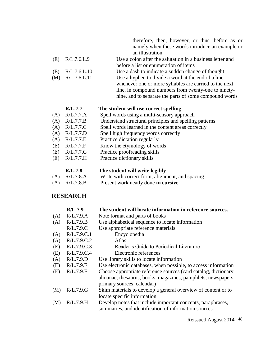|     | therefore, then, however, or thus, before as or           |
|-----|-----------------------------------------------------------|
|     | namely when these words introduce an example or           |
|     | an illustration                                           |
| - 9 | Use a colon after the salutation in a business letter and |

- $(E)$  R/L.7.6.L.9 before a list or enumeration of items
- (E) R/L.7.6.L.10 Use a dash to indicate a sudden change of thought
- (M) R/L.7.6.L.11 Use a hyphen to divide a word at the end of a line
	- whenever one or more syllables are carried to the next line, in compound numbers from twenty-one to ninetynine, and to separate the parts of some compound words

#### **R/L.7.7 The student will use correct spelling**

- (A) R/L.7.7.A Spell words using a multi-sensory approach
- (A) R/L.7.7.B Understand structural principles and spelling patterns
- (A) R/L.7.7.C Spell words learned in the content areas correctly
- (A) R/L.7.7.D Spell high frequency words correctly
- (A) R/L.7.7.E Practice dictation regularly
- (E) R/L.7.7.F Know the etymology of words
- (E) R/L.7.7.G Practice proofreading skills
- (E) R/L.7.7.H Practice dictionary skills

#### **R/L.7.8 The student will write legibly**

- (A) R/L.7.8.A Write with correct form, alignment, and spacing
- (A) R/L.7.8.B Present work neatly done **in cursive**

### **RESEARCH**

|     | R/L.7.9     | The student will locate information in reference sources.       |
|-----|-------------|-----------------------------------------------------------------|
| (A) | R/L.7.9.A   | Note format and parts of books                                  |
| (A) | R/L.7.9.B   | Use alphabetical sequence to locate information                 |
|     | R/L.7.9.C   | Use appropriate reference materials                             |
| (A) | R/L.7.9.C.1 | Encyclopedia                                                    |
| (A) | R/L.7.9.C.2 | Atlas                                                           |
| (E) | R/L.7.9.C.3 | Reader's Guide to Periodical Literature                         |
| (E) | R/L.7.9.C.4 | Electronic references                                           |
| (A) | R/L.7.9.D   | Use library skills to locate information                        |
| (E) | R/L.7.9.E   | Use electronic databases, when possible, to access information  |
| (E) | R/L.7.9.F   | Choose appropriate reference sources (card catalog, dictionary, |
|     |             | almanac, thesaurus, books, magazines, pamphlets, newspapers,    |
|     |             | primary sources, calendar)                                      |
| (M) | R/L.7.9.G   | Skim materials to develop a general overview of content or to   |
|     |             | locate specific information                                     |
| (M) | R/L.7.9.H   | Develop notes that include important concepts, paraphrases,     |
|     |             | summaries, and identification of information sources            |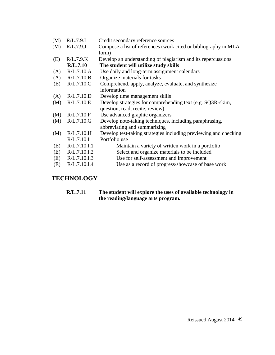| (M) | R/L.7.9.1    | Credit secondary reference sources                               |
|-----|--------------|------------------------------------------------------------------|
| (M) | R/L.7.9J     | Compose a list of references (work cited or bibliography in MLA  |
|     |              | form)                                                            |
| (E) | R/L.7.9.K    | Develop an understanding of plagiarism and its repercussions     |
|     | R/L.7.10     | The student will utilize study skills                            |
| (A) | R/L.7.10.A   | Use daily and long-term assignment calendars                     |
| (A) | R/L.7.10.B   | Organize materials for tasks                                     |
| (E) | R/L.7.10.C   | Comprehend, apply, analyze, evaluate, and synthesize             |
|     |              | information                                                      |
| (A) | R/L.7.10.D   | Develop time management skills                                   |
| (M) | R/L.7.10.E   | Develop strategies for comprehending text (e.g. SQ3R-skim,       |
|     |              | question, read, recite, review)                                  |
| (M) | R/L.7.10.F   | Use advanced graphic organizers                                  |
| (M) | R/L.7.10.G   | Develop note-taking techniques, including paraphrasing,          |
|     |              | abbreviating and summarizing                                     |
| (M) | R/L.7.10.H   | Develop test-taking strategies including previewing and checking |
|     | R/L.7.10.I   | Portfolio use                                                    |
| (E) | R/L.7.10.I.1 | Maintain a variety of written work in a portfolio                |
| (E) | R/L.7.10.L.2 | Select and organize materials to be included                     |
| (E) | R/L.7.10.I.3 | Use for self-assessment and improvement                          |
| (E) | R/L.7.10.I.4 | Use as a record of progress/showcase of base work                |
|     |              |                                                                  |

# **TECHNOLOGY**

**R/L.7.11 The student will explore the uses of available technology in the reading/language arts program.**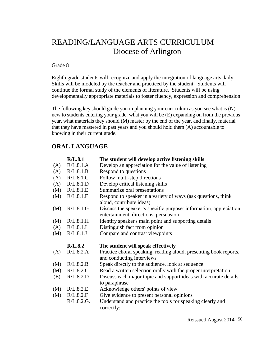# READING/LANGUAGE ARTS CURRICULUM Diocese of Arlington

#### Grade 8

Eighth grade students will recognize and apply the integration of language arts daily. Skills will be modeled by the teacher and practiced by the student. Students will continue the formal study of the elements of literature. Students will be using developmentally appropriate materials to foster fluency, expression and comprehension.

The following key should guide you in planning your curriculum as you see what is (N) new to students entering your grade, what you will be (E) expanding on from the previous year, what materials they should (M) master by the end of the year, and finally, material that they have mastered in past years and you should hold them (A) accountable to knowing in their current grade.

# **ORAL LANGUAGE**

|     | R/L.8.1    | The student will develop active listening skills                         |
|-----|------------|--------------------------------------------------------------------------|
| (A) | R/L.8.1.A  | Develop an appreciation for the value of listening                       |
| (A) | R/L.8.1.B  | Respond to questions                                                     |
| (A) | R/L.8.1.C  | Follow multi-step directions                                             |
| (A) | R/L.8.1.D  | Develop critical listening skills                                        |
| (M) | R/L.8.1.E  | Summarize oral presentations                                             |
| (M) | R/L.8.1.F  | Respond to speaker in a variety of ways (ask questions, think            |
|     |            | aloud, contribute ideas)                                                 |
| (M) | R/L.8.1.G  | Discuss the speaker's specific purpose: information, appreciation,       |
|     |            | entertainment, directions, persuasion                                    |
| (M) | R/L.8.1.H  | Identify speaker's main point and supporting details                     |
| (A) | R/L.8.1.I  | Distinguish fact from opinion                                            |
| (M) | R/L.8.1.J  | Compare and contrast viewpoints                                          |
|     | R/L.8.2    | The student will speak effectively                                       |
| (A) | R/L.8.2.A  | Practice choral speaking, reading aloud, presenting book reports,        |
|     |            | and conducting interviews                                                |
| (M) | R/L.8.2.B  | Speak directly to the audience, look at sequence                         |
| (M) | R/L.8.2.C  | Read a written selection orally with the proper interpretation           |
| (E) | R/L.8.2.D  | Discuss each major topic and support ideas with accurate details         |
|     |            | to paraphrase                                                            |
| (M) | R/L.8.2.E  | Acknowledge others' points of view                                       |
| (M) | R/L.8.2.F  | Give evidence to present personal opinions                               |
|     | R/L.8.2.G. | Understand and practice the tools for speaking clearly and<br>correctly: |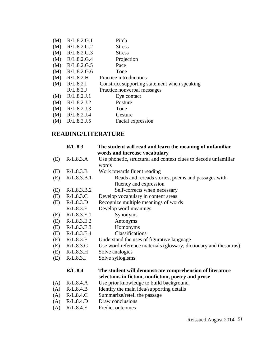| (M) | R/L.8.2.G.1 | Pitch                                        |
|-----|-------------|----------------------------------------------|
| (M) | R/L.8.2.G.2 | <b>Stress</b>                                |
| (M) | R/L.8.2.G.3 | <b>Stress</b>                                |
| (M) | R/L.8.2.G.4 | Projection                                   |
| (M) | R/L.8.2.G.5 | Pace                                         |
| (M) | R/L.8.2.G.6 | Tone                                         |
| (M) | R/L.8.2.H   | Practice introductions                       |
| (M) | R/L.8.2.I   | Construct supporting statement when speaking |
|     | R/L.8.2J    | Practice nonverbal messages                  |
| (M) | R/L.8.2.J.1 | Eye contact                                  |
| (M) | R/L.8.2.J.2 | Posture                                      |
| (M) | R/L.8.2.J.3 | Tone                                         |
| (M) | R/L.8.2.J.4 | Gesture                                      |
| (M) | R/L.8.2.J.5 | Facial expression                            |

# **READING/LITERATURE**

|     | R/L.8.3     | The student will read and learn the meaning of unfamiliar<br>words and increase vocabulary |
|-----|-------------|--------------------------------------------------------------------------------------------|
|     | R/L.8.3.A   | Use phonetic, structural and context clues to decode unfamiliar                            |
| (E) |             | words                                                                                      |
| (E) | R/L.8.3.B   | Work towards fluent reading                                                                |
| (E) | R/L.8.3.B.1 | Reads and rereads stories, poems and passages with                                         |
|     |             | fluency and expression                                                                     |
| (E) | R/L.8.3.B.2 | Self-corrects when necessary                                                               |
| (E) | R/L.8.3.C   | Develop vocabulary in content areas                                                        |
| (E) | R/L.8.3.D   | Recognize multiple meanings of words                                                       |
|     | R/L.8.3.E   | Develop word meanings                                                                      |
| (E) | R/L.8.3.E.1 | Synonyms                                                                                   |
| (E) | R/L.8.3.E.2 | Antonyms                                                                                   |
| (E) | R/L.8.3.E.3 | Homonyms                                                                                   |
| (E) | R/L.8.3.E.4 | Classifications                                                                            |
| (E) | R/L.8.3.F   | Understand the uses of figurative language                                                 |
| (E) | R/L.8.3.G   | Use word reference materials (glossary, dictionary and thesaurus)                          |
| (E) | R/L.8.3.H   | Solve analogies                                                                            |
| (E) | R/L.8.3.I   | Solve syllogisms                                                                           |
|     | R/L.8.4     | The student will demonstrate comprehension of literature                                   |
|     |             | selections in fiction, nonfiction, poetry and prose                                        |
| (A) | R/L.8.4.A   | Use prior knowledge to build background                                                    |
| (A) | R/L.8.4.B   | Identify the main idea/supporting details                                                  |
| (A) | R/L.8.4.C   | Summarize/retell the passage                                                               |
| (A) | R/L.8.4.D   | Draw conclusions                                                                           |
| (A) | R/L.8.4.E   | Predict outcomes                                                                           |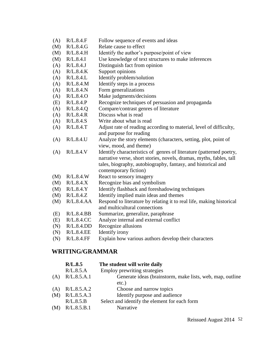- (A) R/L.8.4.F Follow sequence of events and ideas
- (M) R/L.8.4.G Relate cause to effect
- (M) R/L.8.4.H Identify the author's purpose/point of view
- (M) R/L.8.4.I Use knowledge of text structures to make inferences
- (A) R/L.8.4.J Distinguish fact from opinion
- (A) R/L.8.4.K Support opinions
- (A) R/L.8.4.L Identify problem/solution
- (A) R/L.8.4.M Identify steps in a process
- (A) R/L.8.4.N Form generalizations
- (A) R/L.8.4.O Make judgments/decisions
- (E) R/L.8.4.P Recognize techniques of persuasion and propaganda
- $(A)$ R/L.8.4.Q Compare/contrast genres of literature
- (A) R/L.8.4.R Discuss what is read
- (A) R/L.8.4.S Write about what is read
- $(A)$ R/L.8.4.T Adjust rate of reading according to material, level of difficulty, and purpose for reading
- (A) R/L.8.4.U Analyze the story elements (characters, setting, plot, point of view, mood, and theme)
- (A) R/L.8.4.V Identify characteristics of genres of literature (patterned poetry, narrative verse, short stories, novels, dramas, myths, fables, tall tales, biography, autobiography, fantasy, and historical and contemporary fiction)
- (M) R/L.8.4.W React to sensory imagery
- (M) R/L.8.4.X Recognize bias and symbolism
- (M) R/L.8.4.Y Identify flashback and foreshadowing techniques
- (M) R/L.8.4.Z Identify implied main ideas and themes
- (M) R/L.8.4.AA Respond to literature by relating it to real life, making historical and multicultural connections
- (E) R/L.8.4.BB Summarize, generalize, paraphrase
- (E) R/L.8.4.CC Analyze internal and external conflict
- (N) R/L.8.4.DD Recognize allusions
- (N) R/L.8.4.EE Identify irony
- (N) R/L.8.4.FF Explain how various authors develop their characters

# **WRITING/GRAMMAR**

|     | R/L.8.5     | The student will write daily                              |
|-----|-------------|-----------------------------------------------------------|
|     | R/L.8.5.A   | Employ prewriting strategies                              |
| (A) | R/L.8.5.A.1 | Generate ideas (brainstorm, make lists, web, map, outline |
|     |             | $etc.$ )                                                  |
| (A) | R/L.8.5.A.2 | Choose and narrow topics                                  |
| (M) | R/L.8.5.A.3 | Identify purpose and audience                             |
|     | R/L.8.5.B   | Select and identify the element for each form             |
| (M) | R/L.8.5.B.1 | Narrative                                                 |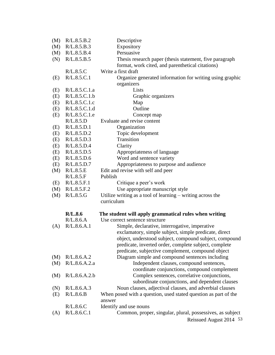| (M) | R/L.8.5.B.2   | Descriptive                                                                          |
|-----|---------------|--------------------------------------------------------------------------------------|
| (M) | R/L.8.5.B.3   | Expository                                                                           |
| (M) | R/L.8.5.B.4   | Persuasive                                                                           |
| (N) | R/L.8.5.B.5   | Thesis research paper (thesis statement, five paragraph)                             |
|     |               | format, work cited, and parenthetical citations)                                     |
|     | R/L.8.5.C     | Write a first draft                                                                  |
| (E) | R/L.8.5.C.1   | Organize generated information for writing using graphic                             |
|     |               | organizers                                                                           |
| (E) | R/L.8.5.C.1.a | Lists                                                                                |
| (E) | R/L.8.5.C.1.b | Graphic organizers                                                                   |
| (E) | R/L.8.5.C.1.c | Map                                                                                  |
| (E) | R/L.8.5.C.1.d | Outline                                                                              |
| (E) | R/L.8.5.C.1.e | Concept map                                                                          |
|     | R/L.8.5.D     | Evaluate and revise content                                                          |
| (E) | R/L.8.5.D.1   | Organization                                                                         |
| (E) | R/L.8.5.D.2   | Topic development                                                                    |
| (E) | R/L.8.5.D.3   | Transition                                                                           |
| (E) | R/L.8.5.D.4   | Clarity                                                                              |
| (E) | R/L.8.5.D.5   | Appropriateness of language                                                          |
| (E) | R/L.8.5.D.6   | Word and sentence variety                                                            |
| (E) | R/L.8.5.D.7   | Appropriateness to purpose and audience                                              |
| (M) | R/L.8.5.E     | Edit and revise with self and peer                                                   |
|     | R/L.8.5.F     | Publish                                                                              |
| (E) | R/L.8.5.F.1   | Critique a peer's work                                                               |
| (M) | R/L.8.5.F.2   | Use appropriate manuscript style                                                     |
| (M) | R/L.8.5.G     | Utilize writing as a tool of learning $-$ writing across the                         |
|     |               | curriculum                                                                           |
|     | R/L.8.6       | The student will apply grammatical rules when writing                                |
|     | R/L.8.6.A     | Use correct sentence structure                                                       |
| (A) | R/L.8.6.A.1   | Simple, declarative, interrogative, imperative                                       |
|     |               | exclamatory, simple subject, simple predicate, direct                                |
|     |               | object, understood subject, compound subject, compound                               |
|     |               | predicate, inverted order, complete subject, complete                                |
|     |               | predicate, subjective complement, compound object                                    |
| (M) | R/L.8.6.A.2   | Diagram simple and compound sentences including                                      |
| (M) | R/L.8.6.A.2.a | Independent clauses, compound sentences,                                             |
|     |               | coordinate conjunctions, compound complement                                         |
| (M) | R/L.8.6.A.2.b | Complex sentences, correlative conjunctions,                                         |
|     |               | subordinate conjunctions, and dependent clauses                                      |
| (N) | R/L.8.6.A.3   | Noun clauses, adjectival clauses, and adverbial clauses                              |
| (E) | R/L.8.6.B     | When posed with a question, used stated question as part of the<br>answer            |
|     | R/L.8.6.C     | Identify and use nouns                                                               |
| (A) | R/L.8.6.C.1   | Common, proper, singular, plural, possessives, as subject<br>Reissued August 2014 53 |
|     |               |                                                                                      |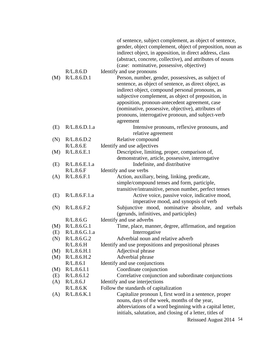|     |                       | of sentence, subject complement, as object of sentence,<br>gender, object complement, object of preposition, noun as<br>indirect object, in apposition, in direct address, class<br>(abstract, concrete, collective), and attributes of nouns<br>(case: nominative, possessive, objective)                                                                                                      |
|-----|-----------------------|-------------------------------------------------------------------------------------------------------------------------------------------------------------------------------------------------------------------------------------------------------------------------------------------------------------------------------------------------------------------------------------------------|
|     | R/L.8.6.D             | Identify and use pronouns                                                                                                                                                                                                                                                                                                                                                                       |
| (M) | R/L.8.6.D.1           | Person, number, gender, possessives, as subject of<br>sentence, as object of sentence, as direct object, as<br>indirect object, compound personal pronouns, as<br>subjective complement, as object of preposition, in<br>apposition, pronoun-antecedent agreement, case<br>(nominative, possessive, objective), attributes of<br>pronouns, interrogative pronoun, and subject-verb<br>agreement |
| (E) | R/L.8.6.D.1.a         | Intensive pronouns, reflexive pronouns, and<br>relative agreement                                                                                                                                                                                                                                                                                                                               |
| (N) | R/L.8.6.D.2           | Relative compound                                                                                                                                                                                                                                                                                                                                                                               |
|     | R/L.8.6.E             | Identify and use adjectives                                                                                                                                                                                                                                                                                                                                                                     |
| (M) | R/L.8.6.E.1           | Descriptive, limiting, proper, comparison of,                                                                                                                                                                                                                                                                                                                                                   |
|     |                       | demonstrative, article, possessive, interrogative                                                                                                                                                                                                                                                                                                                                               |
| (E) | R/L.8.6.E.1.a         | Indefinite, and distributive                                                                                                                                                                                                                                                                                                                                                                    |
|     | R/L.8.6.F             | Identify and use verbs                                                                                                                                                                                                                                                                                                                                                                          |
| (A) | R/L.8.6.F.1           | Action, auxiliary, being, linking, predicate,<br>simple/compound tenses and form, participle,                                                                                                                                                                                                                                                                                                   |
| (E) | R/L.8.6.F.1.a         | transitive/intransitive, person number, perfect tenses<br>Active voice, passive voice, indicative mood,<br>imperative mood, and synopsis of verb                                                                                                                                                                                                                                                |
| (N) | R/L.8.6.F.2           | Subjunctive mood, nominative absolute, and verbals<br>(gerunds, infinitives, and participles)                                                                                                                                                                                                                                                                                                   |
|     | R/L.8.6.G             | Identify and use adverbs                                                                                                                                                                                                                                                                                                                                                                        |
| (M) | R/L.8.6.G.1           | Time, place, manner, degree, affirmation, and negation                                                                                                                                                                                                                                                                                                                                          |
| (E) | R/L.8.6.G.1.a         | Interrogative                                                                                                                                                                                                                                                                                                                                                                                   |
| (N) | R/L.8.6.G.2           | Adverbial noun and relative adverb                                                                                                                                                                                                                                                                                                                                                              |
|     | R/L.8.6.H             | Identify and use prepositions and prepositional phrases                                                                                                                                                                                                                                                                                                                                         |
| (M) | R/L.8.6.H.1           | Adjectival phrase                                                                                                                                                                                                                                                                                                                                                                               |
| (M) | R/L.8.6.H.2           | Adverbial phrase                                                                                                                                                                                                                                                                                                                                                                                |
|     | R/L.8.6.1             | Identify and use conjunctions                                                                                                                                                                                                                                                                                                                                                                   |
| (M) | R/L.8.6.I.1           | Coordinate conjunction                                                                                                                                                                                                                                                                                                                                                                          |
| (E) | R/L.8.6.I.2           | Correlative conjunction and subordinate conjunctions                                                                                                                                                                                                                                                                                                                                            |
| (A) | R/L.8.6J<br>R/L.8.6.K | Identify and use interjections<br>Follow the standards of capitalization                                                                                                                                                                                                                                                                                                                        |
| (A) | R/L.8.6.K.1           | Capitalize pronoun I, first word in a sentence, proper                                                                                                                                                                                                                                                                                                                                          |
|     |                       | nouns, days of the week, months of the year,<br>abbreviations of a word beginning with a capital letter,<br>initials, salutation, and closing of a letter, titles of                                                                                                                                                                                                                            |
|     |                       | Reissued August 2014 54                                                                                                                                                                                                                                                                                                                                                                         |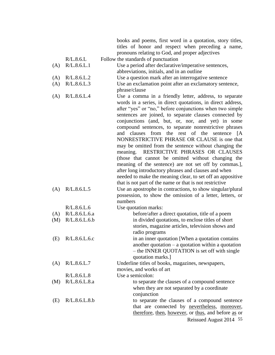books and poems, first word in a quotation, story titles, titles of honor and respect when preceding a name, pronouns relating to God, and proper adjectives

- R/L.8.6.L Follow the standards of punctuation
- (A) R/L.8.6.L.1 Use a period after declarative/imperative sentences, abbreviations, initials, and in an outline
- (A) R/L.8.6.L.2 Use a question mark after an interrogative sentence
- (A) R/L.8.6.L.3 Use an exclamation point after an exclamatory sentence, phrase/clause
- (A) R/L.8.6.L.4 Use a comma in a friendly letter, address, to separate words in a series, in direct quotations, in direct address, after "yes" or "no," before conjunctions when two simple sentences are joined, to separate clauses connected by conjunctions (and, but, or, nor, and yet) in some compound sentences, to separate nonrestrictive phrases and clauses from the rest of the sentence [A NONRESTRICTIVE PHRASE OR CLAUSE is one that may be omitted from the sentence without changing the meaning. RESTRICTIVE PHRASES OR CLAUSES (those that cannot be omitted without changing the meaning of the sentence) are not set off by commas.], after long introductory phrases and clauses and when needed to make the meaning clear, to set off an appositive that is not part of the name or that is not restrictive
- (A) R/L.8.6.L.5 Use an apostrophe in contractions, to show singular/plural possession, to show the omission of a letter, letters, or numbers R/L.8.6.L.6

| (A) | R/L.8.6.L.6.a | before/after a direct quotation, title of a poem     |
|-----|---------------|------------------------------------------------------|
| (M) | R/L.8.6.L.6.b | in divided quotations, to enclose titles of short    |
|     |               | stories, magazine articles, television shows and     |
|     |               | radio programs                                       |
| (E) | R/L.8.6.L.6.c | in an inner quotation [When a quotation contains]    |
|     |               | another quotation $-$ a quotation within a quotation |
|     |               | - the INNER QUOTATION is set off with single         |
|     |               | quotation marks.]                                    |
| (A) | R/L.8.6.L.7   | Underline titles of books, magazines, newspapers,    |
|     |               | movies, and works of art                             |
|     | R/L.8.6.L.8   | Use a semicolon:                                     |
| (M) | R/L.8.6.L.8.a | to separate the clauses of a compound sentence       |
|     |               | when they are not separated by a coordinate          |
|     |               | conjunction                                          |
| (E) | R/L.8.6.L.8.b | to separate the clauses of a compound sentence       |
|     |               | that are connected by nevertheless, moreover,        |
|     |               | therefore, then, however, or thus, and before as or  |

Reissued August 2014 55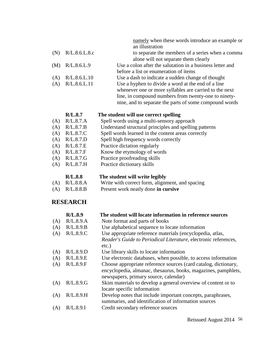namely when these words introduce an example or an illustration (N) R/L.8.6.L.8.c to separate the members of a series when a comma alone will not separate them clearly (M) R/L.8.6.L.9 Use a colon after the salutation in a business letter and before a list or enumeration of items

- (A) R/L.8.6.L.10 Use a dash to indicate a sudden change of thought
- (A) R/L.8.6.L.11 Use a hyphen to divide a word at the end of a line whenever one or more syllables are carried to the next line, in compound numbers from twenty-one to ninetynine, and to separate the parts of some compound words

#### **R/L.8.7 The student will use correct spelling**

- (A) R/L.8.7.A Spell words using a multi-sensory approach
- (A) R/L.8.7.B Understand structural principles and spelling patterns
- (A) R/L.8.7.C Spell words learned in the content areas correctly
- (A) R/L.8.7.D Spell high frequency words correctly
- (A) R/L.8.7.E Practice dictation regularly
- (A) R/L.8.7.F Know the etymology of words
- (A) R/L.8.7.G Practice proofreading skills
- (A) R/L.8.7.H Practice dictionary skills

#### **R/L.8.8 The student will write legibly**

- (A) R/L.8.8.A Write with correct form, alignment, and spacing
- (A) R/L.8.8.B Present work neatly done **in cursive**

#### **RESEARCH**

|     | R/L.8.9   | The student will locate information in reference sources                                                                                                                   |
|-----|-----------|----------------------------------------------------------------------------------------------------------------------------------------------------------------------------|
| (A) | R/L.8.9.A | Note format and parts of books                                                                                                                                             |
| (A) | R/L.8.9.B | Use alphabetical sequence to locate information                                                                                                                            |
| (A) | R/L.8.9.C | Use appropriate reference materials (encyclopedia, atlas,                                                                                                                  |
|     |           | Reader's Guide to Periodical Literature, electronic references,                                                                                                            |
|     |           | $etc.$ )                                                                                                                                                                   |
| (A) | R/L.8.9.D | Use library skills to locate information                                                                                                                                   |
| (A) | R/L.8.9.E | Use electronic databases, when possible, to access information                                                                                                             |
| (A) | R/L.8.9.F | Choose appropriate reference sources (card catalog, dictionary,<br>encyclopedia, almanac, thesaurus, books, magazines, pamphlets,<br>newspapers, primary source, calendar) |
| (A) | R/L.8.9.G | Skim materials to develop a general overview of content or to                                                                                                              |
|     |           | locate specific information                                                                                                                                                |
| (A) | R/L.8.9.H | Develop notes that include important concepts, paraphrases,<br>summaries, and identification of information sources                                                        |
| (A) | R/L.8.9.1 | Credit secondary reference sources                                                                                                                                         |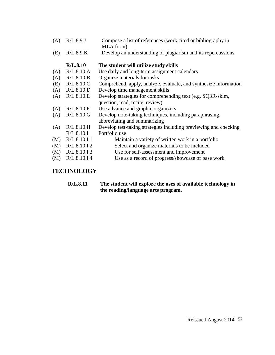- (A) R/L.8.9.J Compose a list of references (work cited or bibliography in MLA form)
- (E) R/L.8.9.K Develop an understanding of plagiarism and its repercussions

|     | R/L.8.10     | The student will utilize study skills                            |
|-----|--------------|------------------------------------------------------------------|
| (A) | R/L.8.10.A   | Use daily and long-term assignment calendars                     |
| (A) | R/L.8.10.B   | Organize materials for tasks                                     |
| (E) | R/L.8.10.C   | Comprehend, apply, analyze, evaluate, and synthesize information |
| (A) | R/L.8.10.D   | Develop time management skills                                   |
| (A) | R/L.8.10.E   | Develop strategies for comprehending text (e.g. SQ3R-skim,       |
|     |              | question, read, recite, review)                                  |
| (A) | R/L.8.10.F   | Use advance and graphic organizers                               |
| (A) | R/L.8.10.G   | Develop note-taking techniques, including paraphrasing,          |
|     |              | abbreviating and summarizing                                     |
| (A) | R/L.8.10.H   | Develop test-taking strategies including previewing and checking |
|     | R/L.8.10.I   | Portfolio use                                                    |
| (M) | R/L.8.10.I.1 | Maintain a variety of written work in a portfolio                |
| (M) | R/L.8.10.I.2 | Select and organize materials to be included                     |
| (M) | R/L.8.10.I.3 | Use for self-assessment and improvement                          |
| (M) | R/L.8.10.I.4 | Use as a record of progress/showcase of base work                |
|     |              |                                                                  |

# **TECHNOLOGY**

**R/L.8.11 The student will explore the uses of available technology in the reading/language arts program.**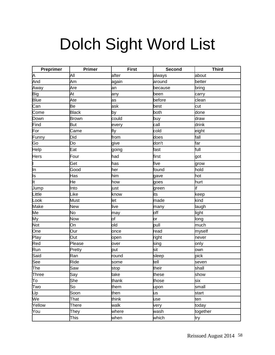# Dolch Sight Word List

| Preprimer   | <b>Primer</b> | <b>First</b> | Second  | <b>Third</b> |
|-------------|---------------|--------------|---------|--------------|
| Α           | All           | after        | always  | about        |
| And         | Am            | again        | around  | better       |
| Away        | Are           | an           | because | bring        |
| Big         | At            | any          | been    | carry        |
| <b>Blue</b> | Ate           | as           | before  | clean        |
| Can         | Be            | ask          | best    | cut          |
| Come        | <b>Black</b>  | by           | both    | done         |
| Down        | <b>Brown</b>  | could        | buy     | draw         |
| Find        | <b>But</b>    | every        | call    | drink        |
| For         | Came          | fly          | cold    | eight        |
| Funny       | Did           | from         | does    | fall         |
| Go          | Do            | give         | don't   | Far          |
| Help        | Eat           | going        | fast    | full         |
| <b>Hers</b> | Four          | had          | first   | got          |
| I           | Get           | has          | five    | grow         |
| In          | Good          | her          | found   | hold         |
| Is          | Has           | him          | gave    | hot          |
| It          | He            | how          | goes    | hurt         |
| Jump        | Into          | just         | green   | if           |
| Little      | Like          | know         | its     | keep         |
| Look        | Must          | let          | made    | kind         |
| Make        | <b>New</b>    | live         | many    | laugh        |
| Me          | No            | may          | off     | light        |
| My          | Now           | of           | or      | long         |
| <b>Not</b>  | On            | old          | pull    | much         |
| One         | Our           | once         | read    | myself       |
| Play        | Out           | open         | right   | never        |
| Red         | Please        | over         | sing    | only         |
| Run         | Pretty        | put          | sit     | own          |
| Said        | Ran           | round        | sleep   | pick         |
| See         | Ride          | some         | tell    | seven        |
| The         | Saw           | stop         | their   | shall        |
| Three       | Say           | take         | these   | show         |
| To          | She           | thank        | those   | six          |
| Two         | So            | them         | upon    | small        |
| Up          | Soon          | then         | us      | start        |
| We          | That          | think        | use     | ten          |
| Yellow      | <b>There</b>  | walk         | very    | today        |
| You         | They          | where        | wash    | together     |
|             | This          | when         | which   | try          |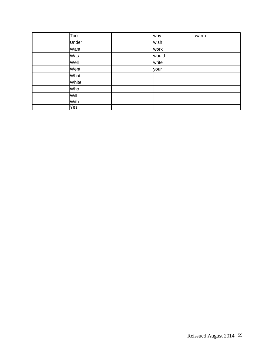| Too  |       | why   | warm |
|------|-------|-------|------|
|      | Under | wish  |      |
| Want |       | work  |      |
| Was  |       | would |      |
| Well |       | write |      |
| Went |       | your  |      |
| What |       |       |      |
|      | White |       |      |
| Who  |       |       |      |
| Will |       |       |      |
| With |       |       |      |
| Yes  |       |       |      |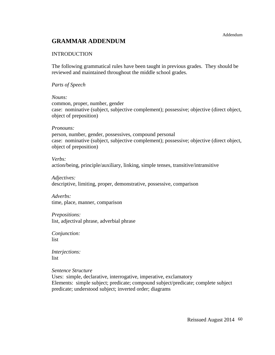# **GRAMMAR ADDENDUM**

#### INTRODUCTION

The following grammatical rules have been taught in previous grades. They should be reviewed and maintained throughout the middle school grades.

#### *Parts of Speech*

#### *Nouns:*

common, proper, number, gender case: nominative (subject, subjective complement); possessive; objective (direct object, object of preposition)

#### *Pronouns:*

person, number, gender, possessives, compound personal case: nominative (subject, subjective complement); possessive; objective (direct object, object of preposition)

#### *Verbs:*

action/being, principle/auxiliary, linking, simple tenses, transitive/intransitive

*Adjectives:* descriptive, limiting, proper, demonstrative, possessive, comparison

*Adverbs:* time, place, manner, comparison

#### *Prepositions:*

list, adjectival phrase, adverbial phrase

*Conjunction:* list

*Interjections:* list

*Sentence Structure*

Uses: simple, declarative, interrogative, imperative, exclamatory Elements: simple subject; predicate; compound subject/predicate; complete subject predicate; understood subject; inverted order; diagrams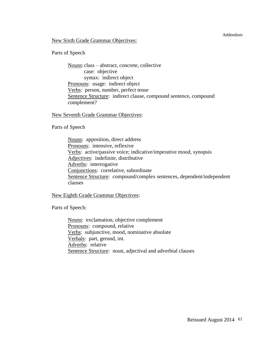#### Addendum

#### New Sixth Grade Grammar Objectives:

#### Parts of Speech

Nouns: class – abstract, concrete, collective case: objective syntax: indirect object Pronouns: usage: indirect object Verbs: person, number, perfect tense Sentence Structure: indirect clause, compound sentence, compound complement?

#### New Seventh Grade Grammar Objectives:

Parts of Speech

Nouns: apposition, direct address Pronouns: intensive, reflexive Verbs: active/passive voice; indicative/imperative mood, synopsis Adjectives: indefinite, distributive Adverbs: interrogative Conjunctions: correlative, subordinate Sentence Structure: compound/complex sentences, dependent/independent clauses

#### New Eighth Grade Grammar Objectives:

Parts of Speech:

Nouns: exclamation, objective complement Pronouns: compound, relative Verbs: subjunctive, mood, nominative absolute Verbals: part, gerund, int. Adverbs: relative Sentence Structure: noun, adjectival and adverbial clauses